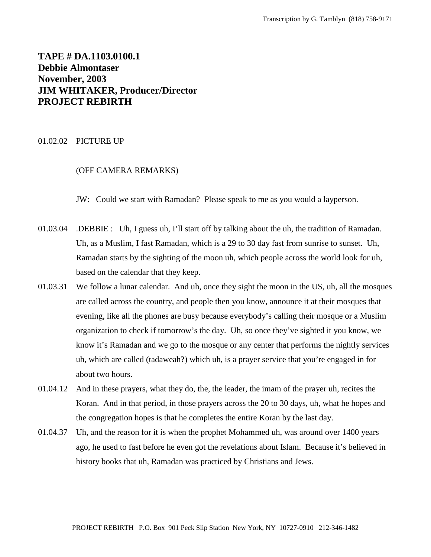# **TAPE # DA.1103.0100.1 Debbie Almontaser November, 2003 JIM WHITAKER, Producer/Director PROJECT REBIRTH**

### 01.02.02 PICTURE UP

# (OFF CAMERA REMARKS)

JW: Could we start with Ramadan? Please speak to me as you would a layperson.

- 01.03.04 .DEBBIE : Uh, I guess uh, I'll start off by talking about the uh, the tradition of Ramadan. Uh, as a Muslim, I fast Ramadan, which is a 29 to 30 day fast from sunrise to sunset. Uh, Ramadan starts by the sighting of the moon uh, which people across the world look for uh, based on the calendar that they keep.
- 01.03.31 We follow a lunar calendar. And uh, once they sight the moon in the US, uh, all the mosques are called across the country, and people then you know, announce it at their mosques that evening, like all the phones are busy because everybody's calling their mosque or a Muslim organization to check if tomorrow's the day. Uh, so once they've sighted it you know, we know it's Ramadan and we go to the mosque or any center that performs the nightly services uh, which are called (tadaweah?) which uh, is a prayer service that you're engaged in for about two hours.
- 01.04.12 And in these prayers, what they do, the, the leader, the imam of the prayer uh, recites the Koran. And in that period, in those prayers across the 20 to 30 days, uh, what he hopes and the congregation hopes is that he completes the entire Koran by the last day.
- 01.04.37 Uh, and the reason for it is when the prophet Mohammed uh, was around over 1400 years ago, he used to fast before he even got the revelations about Islam. Because it's believed in history books that uh, Ramadan was practiced by Christians and Jews.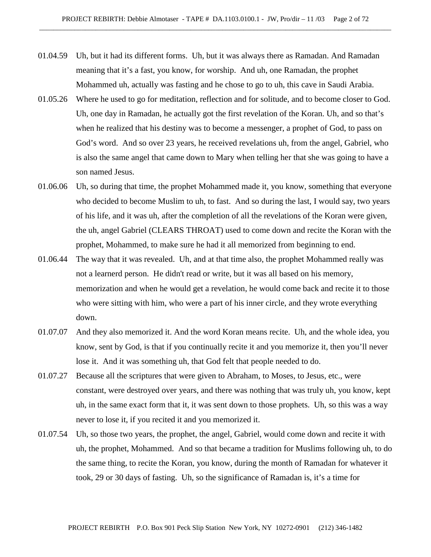- 01.04.59 Uh, but it had its different forms. Uh, but it was always there as Ramadan. And Ramadan meaning that it's a fast, you know, for worship. And uh, one Ramadan, the prophet Mohammed uh, actually was fasting and he chose to go to uh, this cave in Saudi Arabia.
- 01.05.26 Where he used to go for meditation, reflection and for solitude, and to become closer to God. Uh, one day in Ramadan, he actually got the first revelation of the Koran. Uh, and so that's when he realized that his destiny was to become a messenger, a prophet of God, to pass on God's word. And so over 23 years, he received revelations uh, from the angel, Gabriel, who is also the same angel that came down to Mary when telling her that she was going to have a son named Jesus.
- 01.06.06 Uh, so during that time, the prophet Mohammed made it, you know, something that everyone who decided to become Muslim to uh, to fast. And so during the last, I would say, two years of his life, and it was uh, after the completion of all the revelations of the Koran were given, the uh, angel Gabriel (CLEARS THROAT) used to come down and recite the Koran with the prophet, Mohammed, to make sure he had it all memorized from beginning to end.
- 01.06.44 The way that it was revealed. Uh, and at that time also, the prophet Mohammed really was not a learnerd person. He didn't read or write, but it was all based on his memory, memorization and when he would get a revelation, he would come back and recite it to those who were sitting with him, who were a part of his inner circle, and they wrote everything down.
- 01.07.07 And they also memorized it. And the word Koran means recite. Uh, and the whole idea, you know, sent by God, is that if you continually recite it and you memorize it, then you'll never lose it. And it was something uh, that God felt that people needed to do.
- 01.07.27 Because all the scriptures that were given to Abraham, to Moses, to Jesus, etc., were constant, were destroyed over years, and there was nothing that was truly uh, you know, kept uh, in the same exact form that it, it was sent down to those prophets. Uh, so this was a way never to lose it, if you recited it and you memorized it.
- 01.07.54 Uh, so those two years, the prophet, the angel, Gabriel, would come down and recite it with uh, the prophet, Mohammed. And so that became a tradition for Muslims following uh, to do the same thing, to recite the Koran, you know, during the month of Ramadan for whatever it took, 29 or 30 days of fasting. Uh, so the significance of Ramadan is, it's a time for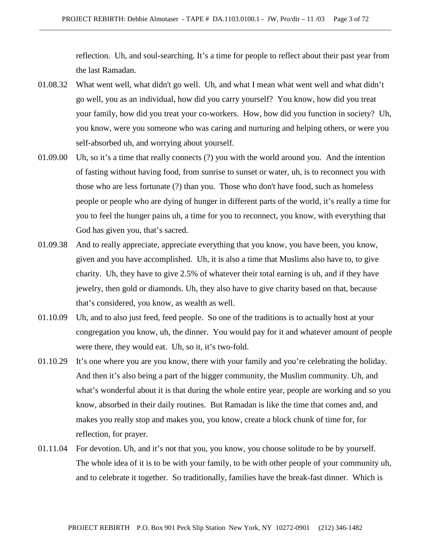reflection. Uh, and soul-searching. It's a time for people to reflect about their past year from the last Ramadan.

- 01.08.32 What went well, what didn't go well. Uh, and what I mean what went well and what didn't go well, you as an individual, how did you carry yourself? You know, how did you treat your family, how did you treat your co-workers. How, how did you function in society? Uh, you know, were you someone who was caring and nurturing and helping others, or were you self-absorbed uh, and worrying about yourself.
- 01.09.00 Uh, so it's a time that really connects (?) you with the world around you. And the intention of fasting without having food, from sunrise to sunset or water, uh, is to reconnect you with those who are less fortunate (?) than you. Those who don't have food, such as homeless people or people who are dying of hunger in different parts of the world, it's really a time for you to feel the hunger pains uh, a time for you to reconnect, you know, with everything that God has given you, that's sacred.
- 01.09.38 And to really appreciate, appreciate everything that you know, you have been, you know, given and you have accomplished. Uh, it is also a time that Muslims also have to, to give charity. Uh, they have to give 2.5% of whatever their total earning is uh, and if they have jewelry, then gold or diamonds. Uh, they also have to give charity based on that, because that's considered, you know, as wealth as well.
- 01.10.09 Uh, and to also just feed, feed people. So one of the traditions is to actually host at your congregation you know, uh, the dinner. You would pay for it and whatever amount of people were there, they would eat. Uh, so it, it's two-fold.
- 01.10.29 It's one where you are you know, there with your family and you're celebrating the holiday. And then it's also being a part of the bigger community, the Muslim community. Uh, and what's wonderful about it is that during the whole entire year, people are working and so you know, absorbed in their daily routines. But Ramadan is like the time that comes and, and makes you really stop and makes you, you know, create a block chunk of time for, for reflection, for prayer.
- 01.11.04 For devotion. Uh, and it's not that you, you know, you choose solitude to be by yourself. The whole idea of it is to be with your family, to be with other people of your community uh, and to celebrate it together. So traditionally, families have the break-fast dinner. Which is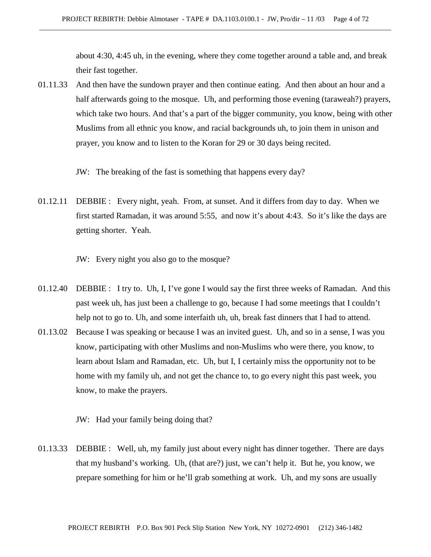about 4:30, 4:45 uh, in the evening, where they come together around a table and, and break their fast together.

- 01.11.33 And then have the sundown prayer and then continue eating. And then about an hour and a half afterwards going to the mosque. Uh, and performing those evening (taraweah?) prayers, which take two hours. And that's a part of the bigger community, you know, being with other Muslims from all ethnic you know, and racial backgrounds uh, to join them in unison and prayer, you know and to listen to the Koran for 29 or 30 days being recited.
	- JW: The breaking of the fast is something that happens every day?
- 01.12.11 DEBBIE : Every night, yeah. From, at sunset. And it differs from day to day. When we first started Ramadan, it was around 5:55, and now it's about 4:43. So it's like the days are getting shorter. Yeah.

JW: Every night you also go to the mosque?

- 01.12.40 DEBBIE : I try to. Uh, I, I've gone I would say the first three weeks of Ramadan. And this past week uh, has just been a challenge to go, because I had some meetings that I couldn't help not to go to. Uh, and some interfaith uh, uh, break fast dinners that I had to attend.
- 01.13.02 Because I was speaking or because I was an invited guest. Uh, and so in a sense, I was you know, participating with other Muslims and non-Muslims who were there, you know, to learn about Islam and Ramadan, etc. Uh, but I, I certainly miss the opportunity not to be home with my family uh, and not get the chance to, to go every night this past week, you know, to make the prayers.

JW: Had your family being doing that?

01.13.33 DEBBIE : Well, uh, my family just about every night has dinner together. There are days that my husband's working. Uh, (that are?) just, we can't help it. But he, you know, we prepare something for him or he'll grab something at work. Uh, and my sons are usually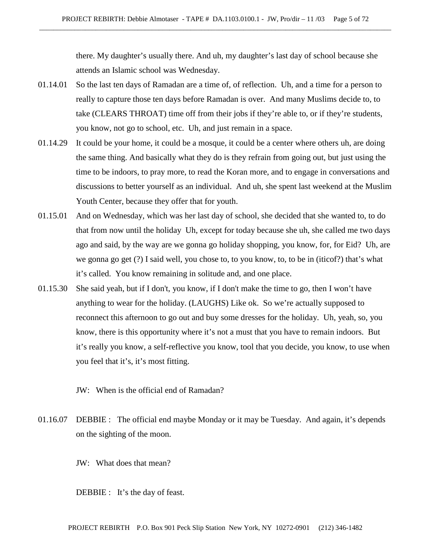there. My daughter's usually there. And uh, my daughter's last day of school because she attends an Islamic school was Wednesday.

- 01.14.01 So the last ten days of Ramadan are a time of, of reflection. Uh, and a time for a person to really to capture those ten days before Ramadan is over. And many Muslims decide to, to take (CLEARS THROAT) time off from their jobs if they're able to, or if they're students, you know, not go to school, etc. Uh, and just remain in a space.
- 01.14.29 It could be your home, it could be a mosque, it could be a center where others uh, are doing the same thing. And basically what they do is they refrain from going out, but just using the time to be indoors, to pray more, to read the Koran more, and to engage in conversations and discussions to better yourself as an individual. And uh, she spent last weekend at the Muslim Youth Center, because they offer that for youth.
- 01.15.01 And on Wednesday, which was her last day of school, she decided that she wanted to, to do that from now until the holiday Uh, except for today because she uh, she called me two days ago and said, by the way are we gonna go holiday shopping, you know, for, for Eid? Uh, are we gonna go get (?) I said well, you chose to, to you know, to, to be in (iticof?) that's what it's called. You know remaining in solitude and, and one place.
- 01.15.30 She said yeah, but if I don't, you know, if I don't make the time to go, then I won't have anything to wear for the holiday. (LAUGHS) Like ok. So we're actually supposed to reconnect this afternoon to go out and buy some dresses for the holiday. Uh, yeah, so, you know, there is this opportunity where it's not a must that you have to remain indoors. But it's really you know, a self-reflective you know, tool that you decide, you know, to use when you feel that it's, it's most fitting.
	- JW: When is the official end of Ramadan?
- 01.16.07 DEBBIE : The official end maybe Monday or it may be Tuesday. And again, it's depends on the sighting of the moon.
	- JW: What does that mean?

DEBBIE : It's the day of feast.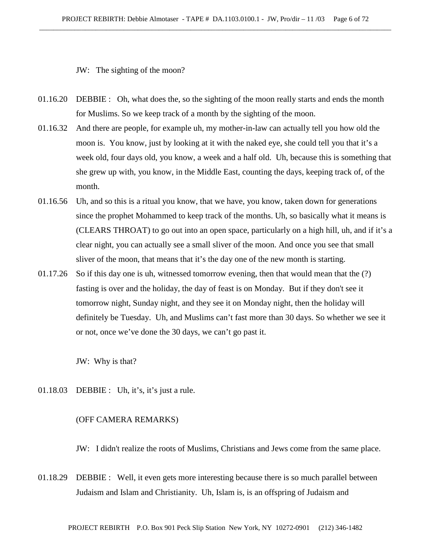JW: The sighting of the moon?

- 01.16.20 DEBBIE : Oh, what does the, so the sighting of the moon really starts and ends the month for Muslims. So we keep track of a month by the sighting of the moon.
- 01.16.32 And there are people, for example uh, my mother-in-law can actually tell you how old the moon is. You know, just by looking at it with the naked eye, she could tell you that it's a week old, four days old, you know, a week and a half old. Uh, because this is something that she grew up with, you know, in the Middle East, counting the days, keeping track of, of the month.
- 01.16.56 Uh, and so this is a ritual you know, that we have, you know, taken down for generations since the prophet Mohammed to keep track of the months. Uh, so basically what it means is (CLEARS THROAT) to go out into an open space, particularly on a high hill, uh, and if it's a clear night, you can actually see a small sliver of the moon. And once you see that small sliver of the moon, that means that it's the day one of the new month is starting.
- 01.17.26 So if this day one is uh, witnessed tomorrow evening, then that would mean that the (?) fasting is over and the holiday, the day of feast is on Monday. But if they don't see it tomorrow night, Sunday night, and they see it on Monday night, then the holiday will definitely be Tuesday. Uh, and Muslims can't fast more than 30 days. So whether we see it or not, once we've done the 30 days, we can't go past it.

JW: Why is that?

01.18.03 DEBBIE : Uh, it's, it's just a rule.

### (OFF CAMERA REMARKS)

JW: I didn't realize the roots of Muslims, Christians and Jews come from the same place.

01.18.29 DEBBIE : Well, it even gets more interesting because there is so much parallel between Judaism and Islam and Christianity. Uh, Islam is, is an offspring of Judaism and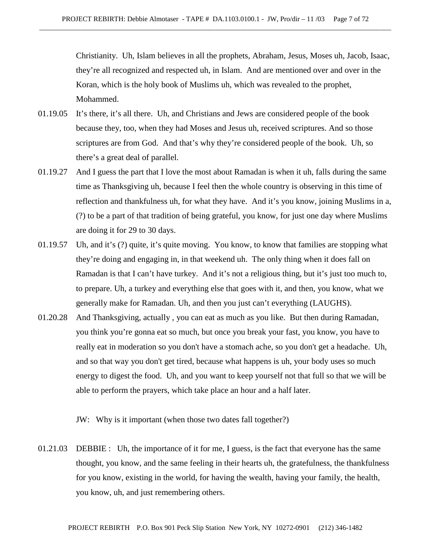Christianity. Uh, Islam believes in all the prophets, Abraham, Jesus, Moses uh, Jacob, Isaac, they're all recognized and respected uh, in Islam. And are mentioned over and over in the Koran, which is the holy book of Muslims uh, which was revealed to the prophet, Mohammed.

- 01.19.05 It's there, it's all there. Uh, and Christians and Jews are considered people of the book because they, too, when they had Moses and Jesus uh, received scriptures. And so those scriptures are from God. And that's why they're considered people of the book. Uh, so there's a great deal of parallel.
- 01.19.27 And I guess the part that I love the most about Ramadan is when it uh, falls during the same time as Thanksgiving uh, because I feel then the whole country is observing in this time of reflection and thankfulness uh, for what they have. And it's you know, joining Muslims in a, (?) to be a part of that tradition of being grateful, you know, for just one day where Muslims are doing it for 29 to 30 days.
- 01.19.57 Uh, and it's (?) quite, it's quite moving. You know, to know that families are stopping what they're doing and engaging in, in that weekend uh. The only thing when it does fall on Ramadan is that I can't have turkey. And it's not a religious thing, but it's just too much to, to prepare. Uh, a turkey and everything else that goes with it, and then, you know, what we generally make for Ramadan. Uh, and then you just can't everything (LAUGHS).
- 01.20.28 And Thanksgiving, actually , you can eat as much as you like. But then during Ramadan, you think you're gonna eat so much, but once you break your fast, you know, you have to really eat in moderation so you don't have a stomach ache, so you don't get a headache. Uh, and so that way you don't get tired, because what happens is uh, your body uses so much energy to digest the food. Uh, and you want to keep yourself not that full so that we will be able to perform the prayers, which take place an hour and a half later.

JW: Why is it important (when those two dates fall together?)

01.21.03 DEBBIE : Uh, the importance of it for me, I guess, is the fact that everyone has the same thought, you know, and the same feeling in their hearts uh, the gratefulness, the thankfulness for you know, existing in the world, for having the wealth, having your family, the health, you know, uh, and just remembering others.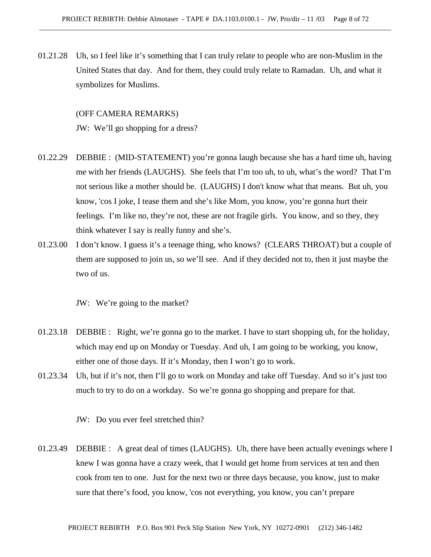01.21.28 Uh, so I feel like it's something that I can truly relate to people who are non-Muslim in the United States that day. And for them, they could truly relate to Ramadan. Uh, and what it symbolizes for Muslims.

## (OFF CAMERA REMARKS)

JW: We'll go shopping for a dress?

- 01.22.29 DEBBIE : (MID-STATEMENT) you're gonna laugh because she has a hard time uh, having me with her friends (LAUGHS). She feels that I'm too uh, to uh, what's the word? That I'm not serious like a mother should be. (LAUGHS) I don't know what that means. But uh, you know, 'cos I joke, I tease them and she's like Mom, you know, you're gonna hurt their feelings. I'm like no, they're not, these are not fragile girls. You know, and so they, they think whatever I say is really funny and she's.
- 01.23.00 I don't know. I guess it's a teenage thing, who knows? (CLEARS THROAT) but a couple of them are supposed to join us, so we'll see. And if they decided not to, then it just maybe the two of us.

JW: We're going to the market?

- 01.23.18 DEBBIE : Right, we're gonna go to the market. I have to start shopping uh, for the holiday, which may end up on Monday or Tuesday. And uh, I am going to be working, you know, either one of those days. If it's Monday, then I won't go to work.
- 01.23.34 Uh, but if it's not, then I'll go to work on Monday and take off Tuesday. And so it's just too much to try to do on a workday. So we're gonna go shopping and prepare for that.

JW: Do you ever feel stretched thin?

01.23.49 DEBBIE : A great deal of times (LAUGHS). Uh, there have been actually evenings where I knew I was gonna have a crazy week, that I would get home from services at ten and then cook from ten to one. Just for the next two or three days because, you know, just to make sure that there's food, you know, 'cos not everything, you know, you can't prepare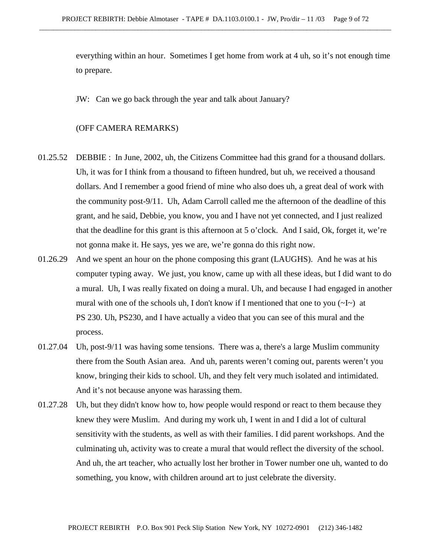everything within an hour. Sometimes I get home from work at 4 uh, so it's not enough time to prepare.

JW: Can we go back through the year and talk about January?

## (OFF CAMERA REMARKS)

- 01.25.52 DEBBIE : In June, 2002, uh, the Citizens Committee had this grand for a thousand dollars. Uh, it was for I think from a thousand to fifteen hundred, but uh, we received a thousand dollars. And I remember a good friend of mine who also does uh, a great deal of work with the community post-9/11. Uh, Adam Carroll called me the afternoon of the deadline of this grant, and he said, Debbie, you know, you and I have not yet connected, and I just realized that the deadline for this grant is this afternoon at 5 o'clock. And I said, Ok, forget it, we're not gonna make it. He says, yes we are, we're gonna do this right now.
- 01.26.29 And we spent an hour on the phone composing this grant (LAUGHS). And he was at his computer typing away. We just, you know, came up with all these ideas, but I did want to do a mural. Uh, I was really fixated on doing a mural. Uh, and because I had engaged in another mural with one of the schools uh, I don't know if I mentioned that one to you  $(\sim I \sim)$  at PS 230. Uh, PS230, and I have actually a video that you can see of this mural and the process.
- 01.27.04 Uh, post-9/11 was having some tensions. There was a, there's a large Muslim community there from the South Asian area. And uh, parents weren't coming out, parents weren't you know, bringing their kids to school. Uh, and they felt very much isolated and intimidated. And it's not because anyone was harassing them.
- 01.27.28 Uh, but they didn't know how to, how people would respond or react to them because they knew they were Muslim. And during my work uh, I went in and I did a lot of cultural sensitivity with the students, as well as with their families. I did parent workshops. And the culminating uh, activity was to create a mural that would reflect the diversity of the school. And uh, the art teacher, who actually lost her brother in Tower number one uh, wanted to do something, you know, with children around art to just celebrate the diversity.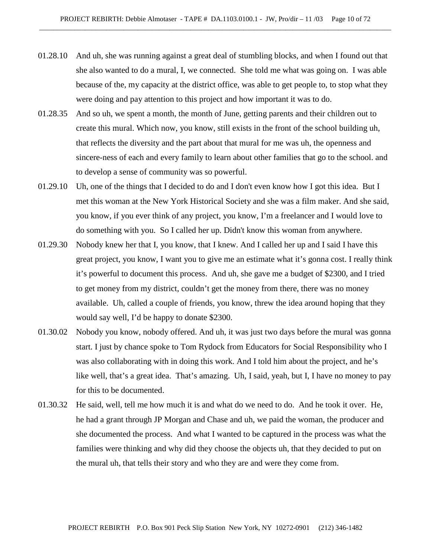- 01.28.10 And uh, she was running against a great deal of stumbling blocks, and when I found out that she also wanted to do a mural, I, we connected. She told me what was going on. I was able because of the, my capacity at the district office, was able to get people to, to stop what they were doing and pay attention to this project and how important it was to do.
- 01.28.35 And so uh, we spent a month, the month of June, getting parents and their children out to create this mural. Which now, you know, still exists in the front of the school building uh, that reflects the diversity and the part about that mural for me was uh, the openness and sincere-ness of each and every family to learn about other families that go to the school. and to develop a sense of community was so powerful.
- 01.29.10 Uh, one of the things that I decided to do and I don't even know how I got this idea. But I met this woman at the New York Historical Society and she was a film maker. And she said, you know, if you ever think of any project, you know, I'm a freelancer and I would love to do something with you. So I called her up. Didn't know this woman from anywhere.
- 01.29.30 Nobody knew her that I, you know, that I knew. And I called her up and I said I have this great project, you know, I want you to give me an estimate what it's gonna cost. I really think it's powerful to document this process. And uh, she gave me a budget of \$2300, and I tried to get money from my district, couldn't get the money from there, there was no money available. Uh, called a couple of friends, you know, threw the idea around hoping that they would say well, I'd be happy to donate \$2300.
- 01.30.02 Nobody you know, nobody offered. And uh, it was just two days before the mural was gonna start. I just by chance spoke to Tom Rydock from Educators for Social Responsibility who I was also collaborating with in doing this work. And I told him about the project, and he's like well, that's a great idea. That's amazing. Uh, I said, yeah, but I, I have no money to pay for this to be documented.
- 01.30.32 He said, well, tell me how much it is and what do we need to do. And he took it over. He, he had a grant through JP Morgan and Chase and uh, we paid the woman, the producer and she documented the process. And what I wanted to be captured in the process was what the families were thinking and why did they choose the objects uh, that they decided to put on the mural uh, that tells their story and who they are and were they come from.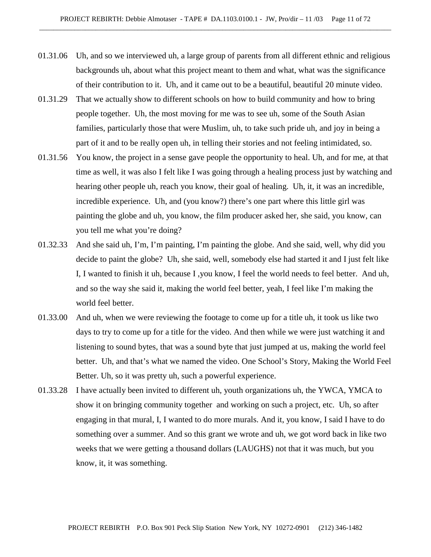- 01.31.06 Uh, and so we interviewed uh, a large group of parents from all different ethnic and religious backgrounds uh, about what this project meant to them and what, what was the significance of their contribution to it. Uh, and it came out to be a beautiful, beautiful 20 minute video.
- 01.31.29 That we actually show to different schools on how to build community and how to bring people together. Uh, the most moving for me was to see uh, some of the South Asian families, particularly those that were Muslim, uh, to take such pride uh, and joy in being a part of it and to be really open uh, in telling their stories and not feeling intimidated, so.
- 01.31.56 You know, the project in a sense gave people the opportunity to heal. Uh, and for me, at that time as well, it was also I felt like I was going through a healing process just by watching and hearing other people uh, reach you know, their goal of healing. Uh, it, it was an incredible, incredible experience. Uh, and (you know?) there's one part where this little girl was painting the globe and uh, you know, the film producer asked her, she said, you know, can you tell me what you're doing?
- 01.32.33 And she said uh, I'm, I'm painting, I'm painting the globe. And she said, well, why did you decide to paint the globe? Uh, she said, well, somebody else had started it and I just felt like I, I wanted to finish it uh, because I ,you know, I feel the world needs to feel better. And uh, and so the way she said it, making the world feel better, yeah, I feel like I'm making the world feel better.
- 01.33.00 And uh, when we were reviewing the footage to come up for a title uh, it took us like two days to try to come up for a title for the video. And then while we were just watching it and listening to sound bytes, that was a sound byte that just jumped at us, making the world feel better. Uh, and that's what we named the video. One School's Story, Making the World Feel Better. Uh, so it was pretty uh, such a powerful experience.
- 01.33.28 I have actually been invited to different uh, youth organizations uh, the YWCA, YMCA to show it on bringing community together and working on such a project, etc. Uh, so after engaging in that mural, I, I wanted to do more murals. And it, you know, I said I have to do something over a summer. And so this grant we wrote and uh, we got word back in like two weeks that we were getting a thousand dollars (LAUGHS) not that it was much, but you know, it, it was something.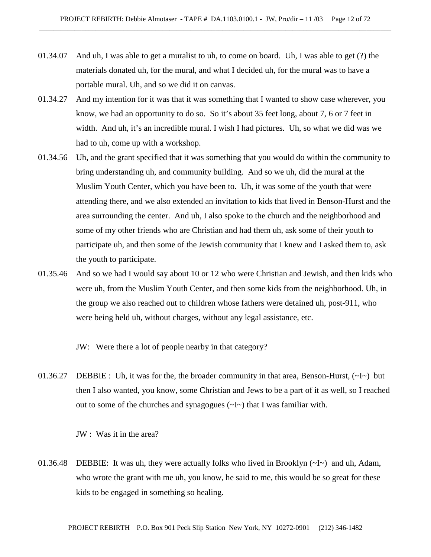- 01.34.07 And uh, I was able to get a muralist to uh, to come on board. Uh, I was able to get (?) the materials donated uh, for the mural, and what I decided uh, for the mural was to have a portable mural. Uh, and so we did it on canvas.
- 01.34.27 And my intention for it was that it was something that I wanted to show case wherever, you know, we had an opportunity to do so. So it's about 35 feet long, about 7, 6 or 7 feet in width. And uh, it's an incredible mural. I wish I had pictures. Uh, so what we did was we had to uh, come up with a workshop.
- 01.34.56 Uh, and the grant specified that it was something that you would do within the community to bring understanding uh, and community building. And so we uh, did the mural at the Muslim Youth Center, which you have been to. Uh, it was some of the youth that were attending there, and we also extended an invitation to kids that lived in Benson-Hurst and the area surrounding the center. And uh, I also spoke to the church and the neighborhood and some of my other friends who are Christian and had them uh, ask some of their youth to participate uh, and then some of the Jewish community that I knew and I asked them to, ask the youth to participate.
- 01.35.46 And so we had I would say about 10 or 12 who were Christian and Jewish, and then kids who were uh, from the Muslim Youth Center, and then some kids from the neighborhood. Uh, in the group we also reached out to children whose fathers were detained uh, post-911, who were being held uh, without charges, without any legal assistance, etc.
	- JW: Were there a lot of people nearby in that category?
- 01.36.27 DEBBIE : Uh, it was for the, the broader community in that area, Benson-Hurst,  $(\sim I \sim)$  but then I also wanted, you know, some Christian and Jews to be a part of it as well, so I reached out to some of the churches and synagogues (~I~) that I was familiar with.

JW : Was it in the area?

01.36.48 DEBBIE: It was uh, they were actually folks who lived in Brooklyn (~I~) and uh, Adam, who wrote the grant with me uh, you know, he said to me, this would be so great for these kids to be engaged in something so healing.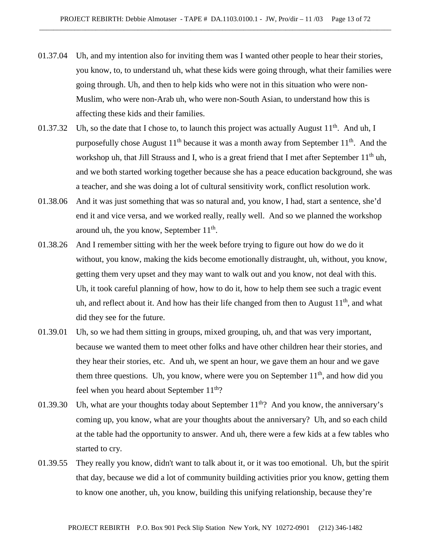- 01.37.04 Uh, and my intention also for inviting them was I wanted other people to hear their stories, you know, to, to understand uh, what these kids were going through, what their families were going through. Uh, and then to help kids who were not in this situation who were non-Muslim, who were non-Arab uh, who were non-South Asian, to understand how this is affecting these kids and their families.
- 01.37.32 Uh, so the date that I chose to, to launch this project was actually August  $11<sup>th</sup>$ . And uh, I purposefully chose August  $11<sup>th</sup>$  because it was a month away from September  $11<sup>th</sup>$ . And the workshop uh, that Jill Strauss and I, who is a great friend that I met after September  $11<sup>th</sup>$  uh, and we both started working together because she has a peace education background, she was a teacher, and she was doing a lot of cultural sensitivity work, conflict resolution work.
- 01.38.06 And it was just something that was so natural and, you know, I had, start a sentence, she'd end it and vice versa, and we worked really, really well. And so we planned the workshop around uh, the you know, September  $11<sup>th</sup>$ .
- 01.38.26 And I remember sitting with her the week before trying to figure out how do we do it without, you know, making the kids become emotionally distraught, uh, without, you know, getting them very upset and they may want to walk out and you know, not deal with this. Uh, it took careful planning of how, how to do it, how to help them see such a tragic event uh, and reflect about it. And how has their life changed from then to August  $11<sup>th</sup>$ , and what did they see for the future.
- 01.39.01 Uh, so we had them sitting in groups, mixed grouping, uh, and that was very important, because we wanted them to meet other folks and have other children hear their stories, and they hear their stories, etc. And uh, we spent an hour, we gave them an hour and we gave them three questions. Uh, you know, where were you on September  $11<sup>th</sup>$ , and how did you feel when you heard about September  $11<sup>th</sup>$ ?
- 01.39.30 Uh, what are your thoughts today about September  $11<sup>th</sup>$ ? And you know, the anniversary's coming up, you know, what are your thoughts about the anniversary? Uh, and so each child at the table had the opportunity to answer. And uh, there were a few kids at a few tables who started to cry.
- 01.39.55 They really you know, didn't want to talk about it, or it was too emotional. Uh, but the spirit that day, because we did a lot of community building activities prior you know, getting them to know one another, uh, you know, building this unifying relationship, because they're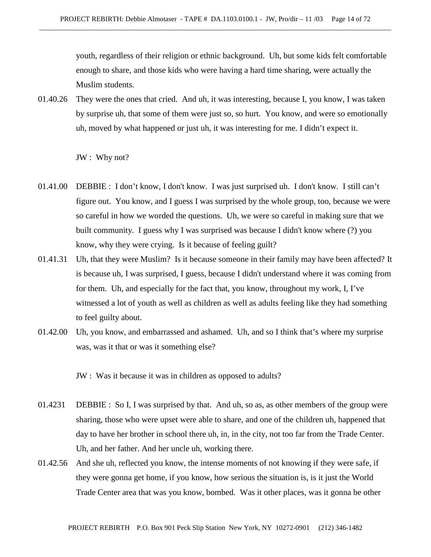youth, regardless of their religion or ethnic background. Uh, but some kids felt comfortable enough to share, and those kids who were having a hard time sharing, were actually the Muslim students.

01.40.26 They were the ones that cried. And uh, it was interesting, because I, you know, I was taken by surprise uh, that some of them were just so, so hurt. You know, and were so emotionally uh, moved by what happened or just uh, it was interesting for me. I didn't expect it.

JW : Why not?

- 01.41.00 DEBBIE : I don't know, I don't know. I was just surprised uh. I don't know. I still can't figure out. You know, and I guess I was surprised by the whole group, too, because we were so careful in how we worded the questions. Uh, we were so careful in making sure that we built community. I guess why I was surprised was because I didn't know where (?) you know, why they were crying. Is it because of feeling guilt?
- 01.41.31 Uh, that they were Muslim? Is it because someone in their family may have been affected? It is because uh, I was surprised, I guess, because I didn't understand where it was coming from for them. Uh, and especially for the fact that, you know, throughout my work, I, I've witnessed a lot of youth as well as children as well as adults feeling like they had something to feel guilty about.
- 01.42.00 Uh, you know, and embarrassed and ashamed. Uh, and so I think that's where my surprise was, was it that or was it something else?

JW : Was it because it was in children as opposed to adults?

- 01.4231 DEBBIE : So I, I was surprised by that. And uh, so as, as other members of the group were sharing, those who were upset were able to share, and one of the children uh, happened that day to have her brother in school there uh, in, in the city, not too far from the Trade Center. Uh, and her father. And her uncle uh, working there.
- 01.42.56 And she uh, reflected you know, the intense moments of not knowing if they were safe, if they were gonna get home, if you know, how serious the situation is, is it just the World Trade Center area that was you know, bombed. Was it other places, was it gonna be other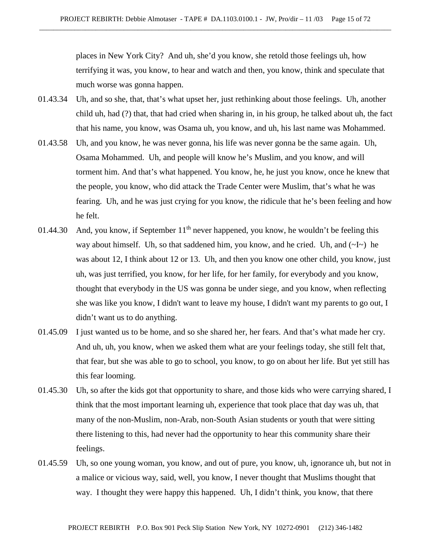places in New York City? And uh, she'd you know, she retold those feelings uh, how terrifying it was, you know, to hear and watch and then, you know, think and speculate that much worse was gonna happen.

- 01.43.34 Uh, and so she, that, that's what upset her, just rethinking about those feelings. Uh, another child uh, had (?) that, that had cried when sharing in, in his group, he talked about uh, the fact that his name, you know, was Osama uh, you know, and uh, his last name was Mohammed.
- 01.43.58 Uh, and you know, he was never gonna, his life was never gonna be the same again. Uh, Osama Mohammed. Uh, and people will know he's Muslim, and you know, and will torment him. And that's what happened. You know, he, he just you know, once he knew that the people, you know, who did attack the Trade Center were Muslim, that's what he was fearing. Uh, and he was just crying for you know, the ridicule that he's been feeling and how he felt.
- 01.44.30 And, you know, if September  $11<sup>th</sup>$  never happened, you know, he wouldn't be feeling this way about himself. Uh, so that saddened him, you know, and he cried. Uh, and  $(\sim I \sim)$  he was about 12, I think about 12 or 13. Uh, and then you know one other child, you know, just uh, was just terrified, you know, for her life, for her family, for everybody and you know, thought that everybody in the US was gonna be under siege, and you know, when reflecting she was like you know, I didn't want to leave my house, I didn't want my parents to go out, I didn't want us to do anything.
- 01.45.09 I just wanted us to be home, and so she shared her, her fears. And that's what made her cry. And uh, uh, you know, when we asked them what are your feelings today, she still felt that, that fear, but she was able to go to school, you know, to go on about her life. But yet still has this fear looming.
- 01.45.30 Uh, so after the kids got that opportunity to share, and those kids who were carrying shared, I think that the most important learning uh, experience that took place that day was uh, that many of the non-Muslim, non-Arab, non-South Asian students or youth that were sitting there listening to this, had never had the opportunity to hear this community share their feelings.
- 01.45.59 Uh, so one young woman, you know, and out of pure, you know, uh, ignorance uh, but not in a malice or vicious way, said, well, you know, I never thought that Muslims thought that way. I thought they were happy this happened. Uh, I didn't think, you know, that there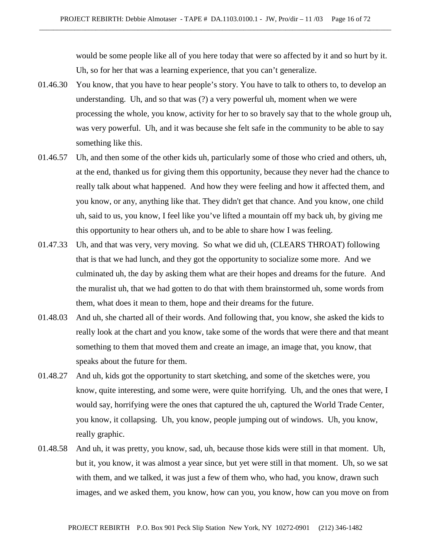would be some people like all of you here today that were so affected by it and so hurt by it. Uh, so for her that was a learning experience, that you can't generalize.

- 01.46.30 You know, that you have to hear people's story. You have to talk to others to, to develop an understanding. Uh, and so that was (?) a very powerful uh, moment when we were processing the whole, you know, activity for her to so bravely say that to the whole group uh, was very powerful. Uh, and it was because she felt safe in the community to be able to say something like this.
- 01.46.57 Uh, and then some of the other kids uh, particularly some of those who cried and others, uh, at the end, thanked us for giving them this opportunity, because they never had the chance to really talk about what happened. And how they were feeling and how it affected them, and you know, or any, anything like that. They didn't get that chance. And you know, one child uh, said to us, you know, I feel like you've lifted a mountain off my back uh, by giving me this opportunity to hear others uh, and to be able to share how I was feeling.
- 01.47.33 Uh, and that was very, very moving. So what we did uh, (CLEARS THROAT) following that is that we had lunch, and they got the opportunity to socialize some more. And we culminated uh, the day by asking them what are their hopes and dreams for the future. And the muralist uh, that we had gotten to do that with them brainstormed uh, some words from them, what does it mean to them, hope and their dreams for the future.
- 01.48.03 And uh, she charted all of their words. And following that, you know, she asked the kids to really look at the chart and you know, take some of the words that were there and that meant something to them that moved them and create an image, an image that, you know, that speaks about the future for them.
- 01.48.27 And uh, kids got the opportunity to start sketching, and some of the sketches were, you know, quite interesting, and some were, were quite horrifying. Uh, and the ones that were, I would say, horrifying were the ones that captured the uh, captured the World Trade Center, you know, it collapsing. Uh, you know, people jumping out of windows. Uh, you know, really graphic.
- 01.48.58 And uh, it was pretty, you know, sad, uh, because those kids were still in that moment. Uh, but it, you know, it was almost a year since, but yet were still in that moment. Uh, so we sat with them, and we talked, it was just a few of them who, who had, you know, drawn such images, and we asked them, you know, how can you, you know, how can you move on from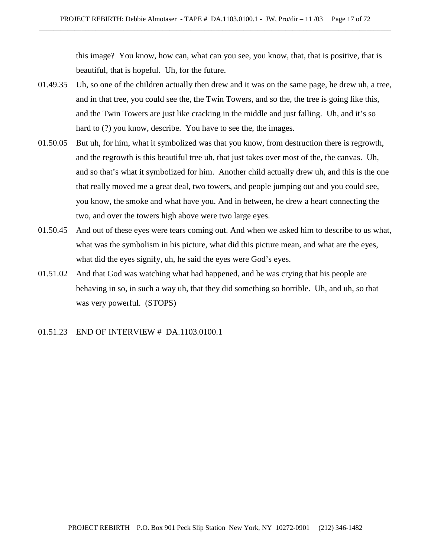this image? You know, how can, what can you see, you know, that, that is positive, that is beautiful, that is hopeful. Uh, for the future.

- 01.49.35 Uh, so one of the children actually then drew and it was on the same page, he drew uh, a tree, and in that tree, you could see the, the Twin Towers, and so the, the tree is going like this, and the Twin Towers are just like cracking in the middle and just falling. Uh, and it's so hard to (?) you know, describe. You have to see the, the images.
- 01.50.05 But uh, for him, what it symbolized was that you know, from destruction there is regrowth, and the regrowth is this beautiful tree uh, that just takes over most of the, the canvas. Uh, and so that's what it symbolized for him. Another child actually drew uh, and this is the one that really moved me a great deal, two towers, and people jumping out and you could see, you know, the smoke and what have you. And in between, he drew a heart connecting the two, and over the towers high above were two large eyes.
- 01.50.45 And out of these eyes were tears coming out. And when we asked him to describe to us what, what was the symbolism in his picture, what did this picture mean, and what are the eyes, what did the eyes signify, uh, he said the eyes were God's eyes.
- 01.51.02 And that God was watching what had happened, and he was crying that his people are behaving in so, in such a way uh, that they did something so horrible. Uh, and uh, so that was very powerful. (STOPS)
- 01.51.23 END OF INTERVIEW # DA.1103.0100.1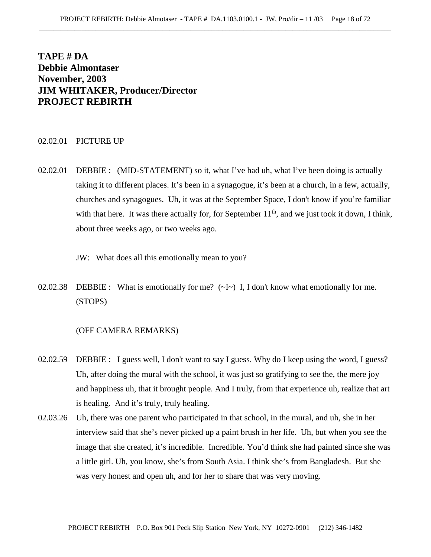# **TAPE # DA Debbie Almontaser November, 2003 JIM WHITAKER, Producer/Director PROJECT REBIRTH**

#### 02.02.01 PICTURE UP

- 02.02.01 DEBBIE : (MID-STATEMENT) so it, what I've had uh, what I've been doing is actually taking it to different places. It's been in a synagogue, it's been at a church, in a few, actually, churches and synagogues. Uh, it was at the September Space, I don't know if you're familiar with that here. It was there actually for, for September  $11<sup>th</sup>$ , and we just took it down, I think, about three weeks ago, or two weeks ago.
	- JW: What does all this emotionally mean to you?
- 02.02.38 DEBBIE : What is emotionally for me?  $(\sim I \sim)$  I, I don't know what emotionally for me. (STOPS)

#### (OFF CAMERA REMARKS)

- 02.02.59 DEBBIE : I guess well, I don't want to say I guess. Why do I keep using the word, I guess? Uh, after doing the mural with the school, it was just so gratifying to see the, the mere joy and happiness uh, that it brought people. And I truly, from that experience uh, realize that art is healing. And it's truly, truly healing.
- 02.03.26 Uh, there was one parent who participated in that school, in the mural, and uh, she in her interview said that she's never picked up a paint brush in her life. Uh, but when you see the image that she created, it's incredible. Incredible. You'd think she had painted since she was a little girl. Uh, you know, she's from South Asia. I think she's from Bangladesh. But she was very honest and open uh, and for her to share that was very moving.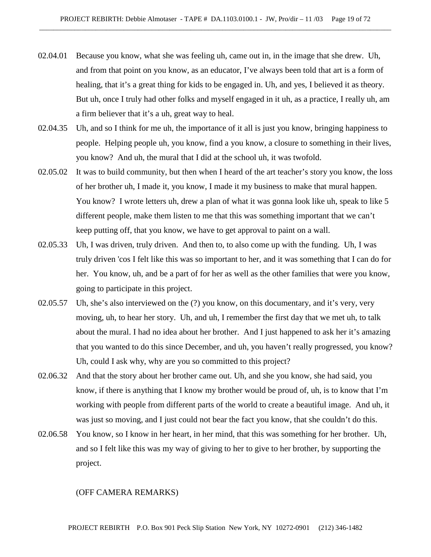- 02.04.01 Because you know, what she was feeling uh, came out in, in the image that she drew. Uh, and from that point on you know, as an educator, I've always been told that art is a form of healing, that it's a great thing for kids to be engaged in. Uh, and yes, I believed it as theory. But uh, once I truly had other folks and myself engaged in it uh, as a practice, I really uh, am a firm believer that it's a uh, great way to heal.
- 02.04.35 Uh, and so I think for me uh, the importance of it all is just you know, bringing happiness to people. Helping people uh, you know, find a you know, a closure to something in their lives, you know? And uh, the mural that I did at the school uh, it was twofold.
- 02.05.02 It was to build community, but then when I heard of the art teacher's story you know, the loss of her brother uh, I made it, you know, I made it my business to make that mural happen. You know? I wrote letters uh, drew a plan of what it was gonna look like uh, speak to like 5 different people, make them listen to me that this was something important that we can't keep putting off, that you know, we have to get approval to paint on a wall.
- 02.05.33 Uh, I was driven, truly driven. And then to, to also come up with the funding. Uh, I was truly driven 'cos I felt like this was so important to her, and it was something that I can do for her. You know, uh, and be a part of for her as well as the other families that were you know, going to participate in this project.
- 02.05.57 Uh, she's also interviewed on the (?) you know, on this documentary, and it's very, very moving, uh, to hear her story. Uh, and uh, I remember the first day that we met uh, to talk about the mural. I had no idea about her brother. And I just happened to ask her it's amazing that you wanted to do this since December, and uh, you haven't really progressed, you know? Uh, could I ask why, why are you so committed to this project?
- 02.06.32 And that the story about her brother came out. Uh, and she you know, she had said, you know, if there is anything that I know my brother would be proud of, uh, is to know that I'm working with people from different parts of the world to create a beautiful image. And uh, it was just so moving, and I just could not bear the fact you know, that she couldn't do this.
- 02.06.58 You know, so I know in her heart, in her mind, that this was something for her brother. Uh, and so I felt like this was my way of giving to her to give to her brother, by supporting the project.

#### (OFF CAMERA REMARKS)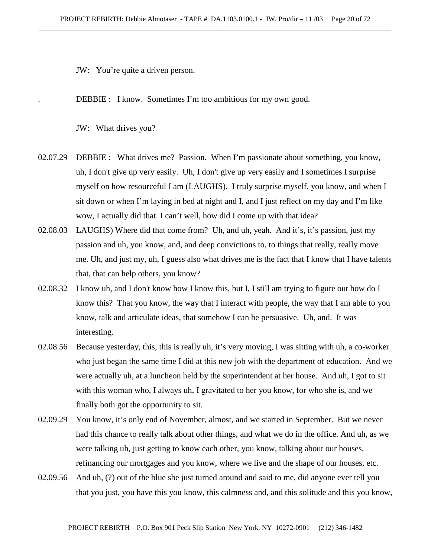JW: You're quite a driven person.

DEBBIE : I know. Sometimes I'm too ambitious for my own good.

JW: What drives you?

- 02.07.29 DEBBIE : What drives me? Passion. When I'm passionate about something, you know, uh, I don't give up very easily. Uh, I don't give up very easily and I sometimes I surprise myself on how resourceful I am (LAUGHS). I truly surprise myself, you know, and when I sit down or when I'm laying in bed at night and I, and I just reflect on my day and I'm like wow, I actually did that. I can't well, how did I come up with that idea?
- 02.08.03 LAUGHS) Where did that come from? Uh, and uh, yeah. And it's, it's passion, just my passion and uh, you know, and, and deep convictions to, to things that really, really move me. Uh, and just my, uh, I guess also what drives me is the fact that I know that I have talents that, that can help others, you know?
- 02.08.32 I know uh, and I don't know how I know this, but I, I still am trying to figure out how do I know this? That you know, the way that I interact with people, the way that I am able to you know, talk and articulate ideas, that somehow I can be persuasive. Uh, and. It was interesting.
- 02.08.56 Because yesterday, this, this is really uh, it's very moving, I was sitting with uh, a co-worker who just began the same time I did at this new job with the department of education. And we were actually uh, at a luncheon held by the superintendent at her house. And uh, I got to sit with this woman who, I always uh, I gravitated to her you know, for who she is, and we finally both got the opportunity to sit.
- 02.09.29 You know, it's only end of November, almost, and we started in September. But we never had this chance to really talk about other things, and what we do in the office. And uh, as we were talking uh, just getting to know each other, you know, talking about our houses, refinancing our mortgages and you know, where we live and the shape of our houses, etc.
- 02.09.56 And uh, (?) out of the blue she just turned around and said to me, did anyone ever tell you that you just, you have this you know, this calmness and, and this solitude and this you know,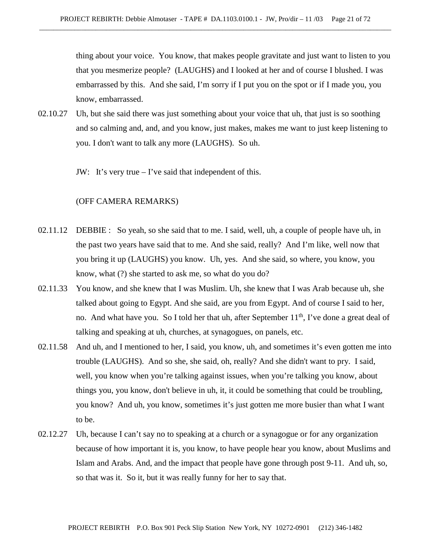thing about your voice. You know, that makes people gravitate and just want to listen to you that you mesmerize people? (LAUGHS) and I looked at her and of course I blushed. I was embarrassed by this. And she said, I'm sorry if I put you on the spot or if I made you, you know, embarrassed.

- 02.10.27 Uh, but she said there was just something about your voice that uh, that just is so soothing and so calming and, and, and you know, just makes, makes me want to just keep listening to you. I don't want to talk any more (LAUGHS). So uh.
	- JW: It's very true I've said that independent of this.

## (OFF CAMERA REMARKS)

- 02.11.12 DEBBIE : So yeah, so she said that to me. I said, well, uh, a couple of people have uh, in the past two years have said that to me. And she said, really? And I'm like, well now that you bring it up (LAUGHS) you know. Uh, yes. And she said, so where, you know, you know, what (?) she started to ask me, so what do you do?
- 02.11.33 You know, and she knew that I was Muslim. Uh, she knew that I was Arab because uh, she talked about going to Egypt. And she said, are you from Egypt. And of course I said to her, no. And what have you. So I told her that uh, after September  $11<sup>th</sup>$ , I've done a great deal of talking and speaking at uh, churches, at synagogues, on panels, etc.
- 02.11.58 And uh, and I mentioned to her, I said, you know, uh, and sometimes it's even gotten me into trouble (LAUGHS). And so she, she said, oh, really? And she didn't want to pry. I said, well, you know when you're talking against issues, when you're talking you know, about things you, you know, don't believe in uh, it, it could be something that could be troubling, you know? And uh, you know, sometimes it's just gotten me more busier than what I want to be.
- 02.12.27 Uh, because I can't say no to speaking at a church or a synagogue or for any organization because of how important it is, you know, to have people hear you know, about Muslims and Islam and Arabs. And, and the impact that people have gone through post 9-11. And uh, so, so that was it. So it, but it was really funny for her to say that.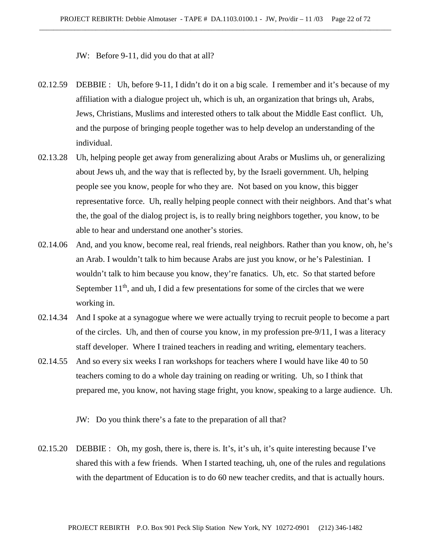JW: Before 9-11, did you do that at all?

- 02.12.59 DEBBIE : Uh, before 9-11, I didn't do it on a big scale. I remember and it's because of my affiliation with a dialogue project uh, which is uh, an organization that brings uh, Arabs, Jews, Christians, Muslims and interested others to talk about the Middle East conflict. Uh, and the purpose of bringing people together was to help develop an understanding of the individual.
- 02.13.28 Uh, helping people get away from generalizing about Arabs or Muslims uh, or generalizing about Jews uh, and the way that is reflected by, by the Israeli government. Uh, helping people see you know, people for who they are. Not based on you know, this bigger representative force. Uh, really helping people connect with their neighbors. And that's what the, the goal of the dialog project is, is to really bring neighbors together, you know, to be able to hear and understand one another's stories.
- 02.14.06 And, and you know, become real, real friends, real neighbors. Rather than you know, oh, he's an Arab. I wouldn't talk to him because Arabs are just you know, or he's Palestinian. I wouldn't talk to him because you know, they're fanatics. Uh, etc. So that started before September  $11<sup>th</sup>$ , and uh, I did a few presentations for some of the circles that we were working in.
- 02.14.34 And I spoke at a synagogue where we were actually trying to recruit people to become a part of the circles. Uh, and then of course you know, in my profession pre-9/11, I was a literacy staff developer. Where I trained teachers in reading and writing, elementary teachers.
- 02.14.55 And so every six weeks I ran workshops for teachers where I would have like 40 to 50 teachers coming to do a whole day training on reading or writing. Uh, so I think that prepared me, you know, not having stage fright, you know, speaking to a large audience. Uh.

JW: Do you think there's a fate to the preparation of all that?

02.15.20 DEBBIE : Oh, my gosh, there is, there is. It's, it's uh, it's quite interesting because I've shared this with a few friends. When I started teaching, uh, one of the rules and regulations with the department of Education is to do 60 new teacher credits, and that is actually hours.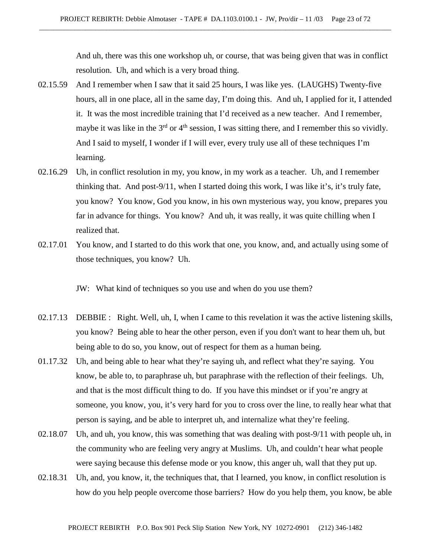And uh, there was this one workshop uh, or course, that was being given that was in conflict resolution. Uh, and which is a very broad thing.

- 02.15.59 And I remember when I saw that it said 25 hours, I was like yes. (LAUGHS) Twenty-five hours, all in one place, all in the same day, I'm doing this. And uh, I applied for it, I attended it. It was the most incredible training that I'd received as a new teacher. And I remember, maybe it was like in the  $3<sup>rd</sup>$  or  $4<sup>th</sup>$  session, I was sitting there, and I remember this so vividly. And I said to myself, I wonder if I will ever, every truly use all of these techniques I'm learning.
- 02.16.29 Uh, in conflict resolution in my, you know, in my work as a teacher. Uh, and I remember thinking that. And post-9/11, when I started doing this work, I was like it's, it's truly fate, you know? You know, God you know, in his own mysterious way, you know, prepares you far in advance for things. You know? And uh, it was really, it was quite chilling when I realized that.
- 02.17.01 You know, and I started to do this work that one, you know, and, and actually using some of those techniques, you know? Uh.

JW: What kind of techniques so you use and when do you use them?

- 02.17.13 DEBBIE : Right. Well, uh, I, when I came to this revelation it was the active listening skills, you know? Being able to hear the other person, even if you don't want to hear them uh, but being able to do so, you know, out of respect for them as a human being.
- 01.17.32 Uh, and being able to hear what they're saying uh, and reflect what they're saying. You know, be able to, to paraphrase uh, but paraphrase with the reflection of their feelings. Uh, and that is the most difficult thing to do. If you have this mindset or if you're angry at someone, you know, you, it's very hard for you to cross over the line, to really hear what that person is saying, and be able to interpret uh, and internalize what they're feeling.
- 02.18.07 Uh, and uh, you know, this was something that was dealing with post-9/11 with people uh, in the community who are feeling very angry at Muslims. Uh, and couldn't hear what people were saying because this defense mode or you know, this anger uh, wall that they put up.
- 02.18.31 Uh, and, you know, it, the techniques that, that I learned, you know, in conflict resolution is how do you help people overcome those barriers? How do you help them, you know, be able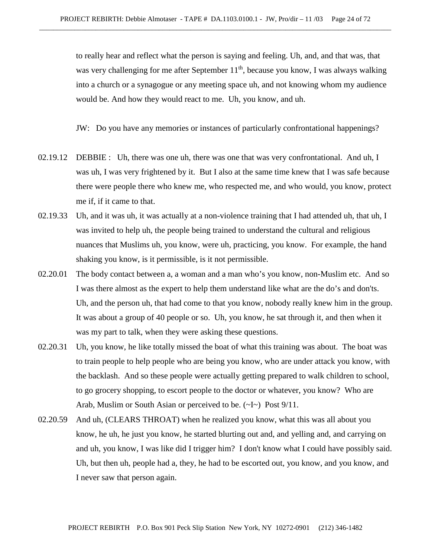to really hear and reflect what the person is saying and feeling. Uh, and, and that was, that was very challenging for me after September  $11<sup>th</sup>$ , because you know, I was always walking into a church or a synagogue or any meeting space uh, and not knowing whom my audience would be. And how they would react to me. Uh, you know, and uh.

JW: Do you have any memories or instances of particularly confrontational happenings?

- 02.19.12 DEBBIE : Uh, there was one uh, there was one that was very confrontational. And uh, I was uh, I was very frightened by it. But I also at the same time knew that I was safe because there were people there who knew me, who respected me, and who would, you know, protect me if, if it came to that.
- 02.19.33 Uh, and it was uh, it was actually at a non-violence training that I had attended uh, that uh, I was invited to help uh, the people being trained to understand the cultural and religious nuances that Muslims uh, you know, were uh, practicing, you know. For example, the hand shaking you know, is it permissible, is it not permissible.
- 02.20.01 The body contact between a, a woman and a man who's you know, non-Muslim etc. And so I was there almost as the expert to help them understand like what are the do's and don'ts. Uh, and the person uh, that had come to that you know, nobody really knew him in the group. It was about a group of 40 people or so. Uh, you know, he sat through it, and then when it was my part to talk, when they were asking these questions.
- 02.20.31 Uh, you know, he like totally missed the boat of what this training was about. The boat was to train people to help people who are being you know, who are under attack you know, with the backlash. And so these people were actually getting prepared to walk children to school, to go grocery shopping, to escort people to the doctor or whatever, you know? Who are Arab, Muslim or South Asian or perceived to be.  $(\sim I \sim)$  Post 9/11.
- 02.20.59 And uh, (CLEARS THROAT) when he realized you know, what this was all about you know, he uh, he just you know, he started blurting out and, and yelling and, and carrying on and uh, you know, I was like did I trigger him? I don't know what I could have possibly said. Uh, but then uh, people had a, they, he had to be escorted out, you know, and you know, and I never saw that person again.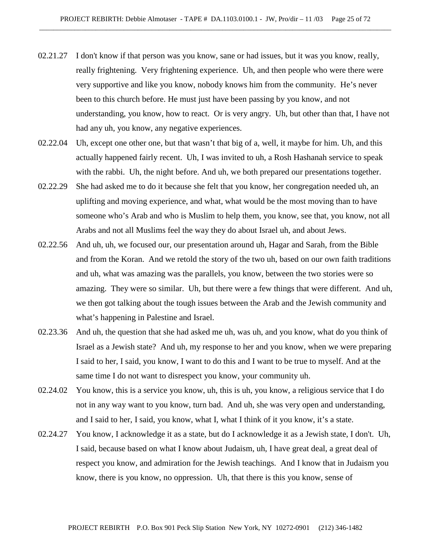- 02.21.27 I don't know if that person was you know, sane or had issues, but it was you know, really, really frightening. Very frightening experience. Uh, and then people who were there were very supportive and like you know, nobody knows him from the community. He's never been to this church before. He must just have been passing by you know, and not understanding, you know, how to react. Or is very angry. Uh, but other than that, I have not had any uh, you know, any negative experiences.
- 02.22.04 Uh, except one other one, but that wasn't that big of a, well, it maybe for him. Uh, and this actually happened fairly recent. Uh, I was invited to uh, a Rosh Hashanah service to speak with the rabbi. Uh, the night before. And uh, we both prepared our presentations together.
- 02.22.29 She had asked me to do it because she felt that you know, her congregation needed uh, an uplifting and moving experience, and what, what would be the most moving than to have someone who's Arab and who is Muslim to help them, you know, see that, you know, not all Arabs and not all Muslims feel the way they do about Israel uh, and about Jews.
- 02.22.56 And uh, uh, we focused our, our presentation around uh, Hagar and Sarah, from the Bible and from the Koran. And we retold the story of the two uh, based on our own faith traditions and uh, what was amazing was the parallels, you know, between the two stories were so amazing. They were so similar. Uh, but there were a few things that were different. And uh, we then got talking about the tough issues between the Arab and the Jewish community and what's happening in Palestine and Israel.
- 02.23.36 And uh, the question that she had asked me uh, was uh, and you know, what do you think of Israel as a Jewish state? And uh, my response to her and you know, when we were preparing I said to her, I said, you know, I want to do this and I want to be true to myself. And at the same time I do not want to disrespect you know, your community uh.
- 02.24.02 You know, this is a service you know, uh, this is uh, you know, a religious service that I do not in any way want to you know, turn bad. And uh, she was very open and understanding, and I said to her, I said, you know, what I, what I think of it you know, it's a state.
- 02.24.27 You know, I acknowledge it as a state, but do I acknowledge it as a Jewish state, I don't. Uh, I said, because based on what I know about Judaism, uh, I have great deal, a great deal of respect you know, and admiration for the Jewish teachings. And I know that in Judaism you know, there is you know, no oppression. Uh, that there is this you know, sense of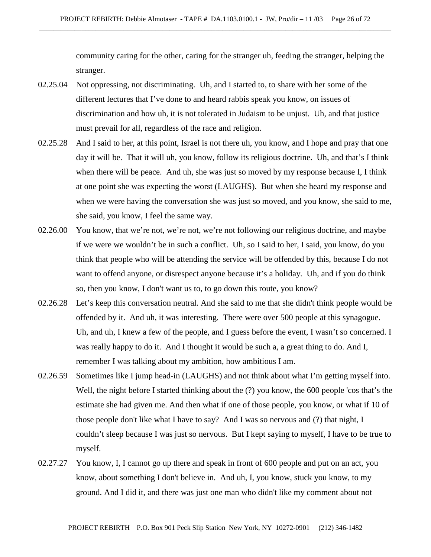community caring for the other, caring for the stranger uh, feeding the stranger, helping the stranger.

- 02.25.04 Not oppressing, not discriminating. Uh, and I started to, to share with her some of the different lectures that I've done to and heard rabbis speak you know, on issues of discrimination and how uh, it is not tolerated in Judaism to be unjust. Uh, and that justice must prevail for all, regardless of the race and religion.
- 02.25.28 And I said to her, at this point, Israel is not there uh, you know, and I hope and pray that one day it will be. That it will uh, you know, follow its religious doctrine. Uh, and that's I think when there will be peace. And uh, she was just so moved by my response because I, I think at one point she was expecting the worst (LAUGHS). But when she heard my response and when we were having the conversation she was just so moved, and you know, she said to me, she said, you know, I feel the same way.
- 02.26.00 You know, that we're not, we're not, we're not following our religious doctrine, and maybe if we were we wouldn't be in such a conflict. Uh, so I said to her, I said, you know, do you think that people who will be attending the service will be offended by this, because I do not want to offend anyone, or disrespect anyone because it's a holiday. Uh, and if you do think so, then you know, I don't want us to, to go down this route, you know?
- 02.26.28 Let's keep this conversation neutral. And she said to me that she didn't think people would be offended by it. And uh, it was interesting. There were over 500 people at this synagogue. Uh, and uh, I knew a few of the people, and I guess before the event, I wasn't so concerned. I was really happy to do it. And I thought it would be such a, a great thing to do. And I, remember I was talking about my ambition, how ambitious I am.
- 02.26.59 Sometimes like I jump head-in (LAUGHS) and not think about what I'm getting myself into. Well, the night before I started thinking about the (?) you know, the 600 people 'cos that's the estimate she had given me. And then what if one of those people, you know, or what if 10 of those people don't like what I have to say? And I was so nervous and (?) that night, I couldn't sleep because I was just so nervous. But I kept saying to myself, I have to be true to myself.
- 02.27.27 You know, I, I cannot go up there and speak in front of 600 people and put on an act, you know, about something I don't believe in. And uh, I, you know, stuck you know, to my ground. And I did it, and there was just one man who didn't like my comment about not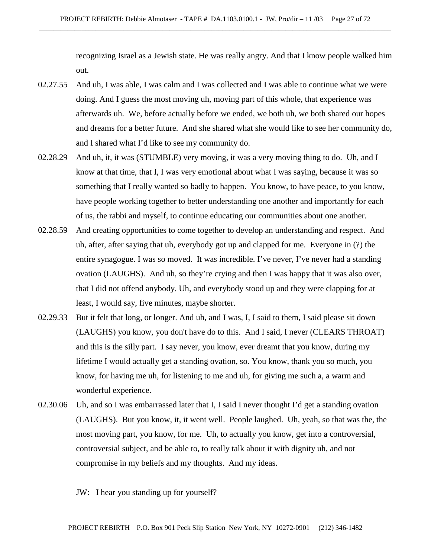recognizing Israel as a Jewish state. He was really angry. And that I know people walked him out.

- 02.27.55 And uh, I was able, I was calm and I was collected and I was able to continue what we were doing. And I guess the most moving uh, moving part of this whole, that experience was afterwards uh. We, before actually before we ended, we both uh, we both shared our hopes and dreams for a better future. And she shared what she would like to see her community do, and I shared what I'd like to see my community do.
- 02.28.29 And uh, it, it was (STUMBLE) very moving, it was a very moving thing to do. Uh, and I know at that time, that I, I was very emotional about what I was saying, because it was so something that I really wanted so badly to happen. You know, to have peace, to you know, have people working together to better understanding one another and importantly for each of us, the rabbi and myself, to continue educating our communities about one another.
- 02.28.59 And creating opportunities to come together to develop an understanding and respect. And uh, after, after saying that uh, everybody got up and clapped for me. Everyone in (?) the entire synagogue. I was so moved. It was incredible. I've never, I've never had a standing ovation (LAUGHS). And uh, so they're crying and then I was happy that it was also over, that I did not offend anybody. Uh, and everybody stood up and they were clapping for at least, I would say, five minutes, maybe shorter.
- 02.29.33 But it felt that long, or longer. And uh, and I was, I, I said to them, I said please sit down (LAUGHS) you know, you don't have do to this. And I said, I never (CLEARS THROAT) and this is the silly part. I say never, you know, ever dreamt that you know, during my lifetime I would actually get a standing ovation, so. You know, thank you so much, you know, for having me uh, for listening to me and uh, for giving me such a, a warm and wonderful experience.
- 02.30.06 Uh, and so I was embarrassed later that I, I said I never thought I'd get a standing ovation (LAUGHS). But you know, it, it went well. People laughed. Uh, yeah, so that was the, the most moving part, you know, for me. Uh, to actually you know, get into a controversial, controversial subject, and be able to, to really talk about it with dignity uh, and not compromise in my beliefs and my thoughts. And my ideas.

JW: I hear you standing up for yourself?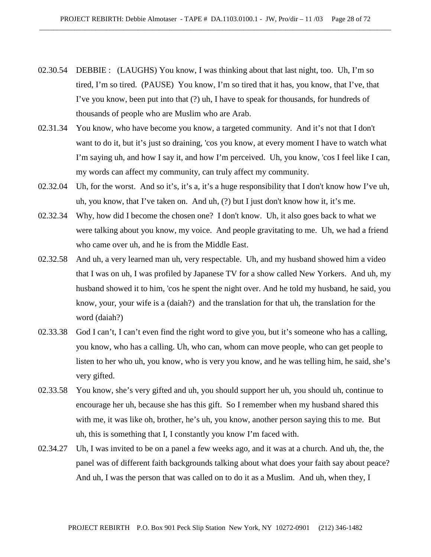- 02.30.54 DEBBIE : (LAUGHS) You know, I was thinking about that last night, too. Uh, I'm so tired, I'm so tired. (PAUSE) You know, I'm so tired that it has, you know, that I've, that I've you know, been put into that (?) uh, I have to speak for thousands, for hundreds of thousands of people who are Muslim who are Arab.
- 02.31.34 You know, who have become you know, a targeted community. And it's not that I don't want to do it, but it's just so draining, 'cos you know, at every moment I have to watch what I'm saying uh, and how I say it, and how I'm perceived. Uh, you know, 'cos I feel like I can, my words can affect my community, can truly affect my community.
- 02.32.04 Uh, for the worst. And so it's, it's a, it's a huge responsibility that I don't know how I've uh, uh, you know, that I've taken on. And uh, (?) but I just don't know how it, it's me.
- 02.32.34 Why, how did I become the chosen one? I don't know. Uh, it also goes back to what we were talking about you know, my voice. And people gravitating to me. Uh, we had a friend who came over uh, and he is from the Middle East.
- 02.32.58 And uh, a very learned man uh, very respectable. Uh, and my husband showed him a video that I was on uh, I was profiled by Japanese TV for a show called New Yorkers. And uh, my husband showed it to him, 'cos he spent the night over. And he told my husband, he said, you know, your, your wife is a (daiah?) and the translation for that uh, the translation for the word (daiah?)
- 02.33.38 God I can't, I can't even find the right word to give you, but it's someone who has a calling, you know, who has a calling. Uh, who can, whom can move people, who can get people to listen to her who uh, you know, who is very you know, and he was telling him, he said, she's very gifted.
- 02.33.58 You know, she's very gifted and uh, you should support her uh, you should uh, continue to encourage her uh, because she has this gift. So I remember when my husband shared this with me, it was like oh, brother, he's uh, you know, another person saying this to me. But uh, this is something that I, I constantly you know I'm faced with.
- 02.34.27 Uh, I was invited to be on a panel a few weeks ago, and it was at a church. And uh, the, the panel was of different faith backgrounds talking about what does your faith say about peace? And uh, I was the person that was called on to do it as a Muslim. And uh, when they, I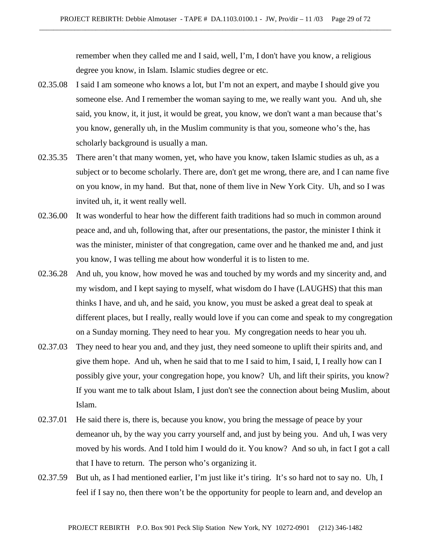remember when they called me and I said, well, I'm, I don't have you know, a religious degree you know, in Islam. Islamic studies degree or etc.

- 02.35.08 I said I am someone who knows a lot, but I'm not an expert, and maybe I should give you someone else. And I remember the woman saying to me, we really want you. And uh, she said, you know, it, it just, it would be great, you know, we don't want a man because that's you know, generally uh, in the Muslim community is that you, someone who's the, has scholarly background is usually a man.
- 02.35.35 There aren't that many women, yet, who have you know, taken Islamic studies as uh, as a subject or to become scholarly. There are, don't get me wrong, there are, and I can name five on you know, in my hand. But that, none of them live in New York City. Uh, and so I was invited uh, it, it went really well.
- 02.36.00 It was wonderful to hear how the different faith traditions had so much in common around peace and, and uh, following that, after our presentations, the pastor, the minister I think it was the minister, minister of that congregation, came over and he thanked me and, and just you know, I was telling me about how wonderful it is to listen to me.
- 02.36.28 And uh, you know, how moved he was and touched by my words and my sincerity and, and my wisdom, and I kept saying to myself, what wisdom do I have (LAUGHS) that this man thinks I have, and uh, and he said, you know, you must be asked a great deal to speak at different places, but I really, really would love if you can come and speak to my congregation on a Sunday morning. They need to hear you. My congregation needs to hear you uh.
- 02.37.03 They need to hear you and, and they just, they need someone to uplift their spirits and, and give them hope. And uh, when he said that to me I said to him, I said, I, I really how can I possibly give your, your congregation hope, you know? Uh, and lift their spirits, you know? If you want me to talk about Islam, I just don't see the connection about being Muslim, about Islam.
- 02.37.01 He said there is, there is, because you know, you bring the message of peace by your demeanor uh, by the way you carry yourself and, and just by being you. And uh, I was very moved by his words. And I told him I would do it. You know? And so uh, in fact I got a call that I have to return. The person who's organizing it.
- 02.37.59 But uh, as I had mentioned earlier, I'm just like it's tiring. It's so hard not to say no. Uh, I feel if I say no, then there won't be the opportunity for people to learn and, and develop an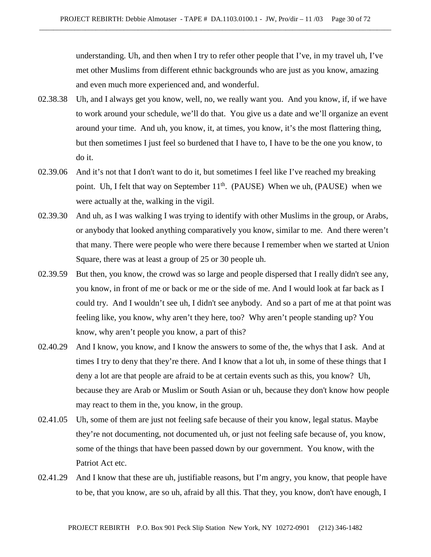understanding. Uh, and then when I try to refer other people that I've, in my travel uh, I've met other Muslims from different ethnic backgrounds who are just as you know, amazing and even much more experienced and, and wonderful.

- 02.38.38 Uh, and I always get you know, well, no, we really want you. And you know, if, if we have to work around your schedule, we'll do that. You give us a date and we'll organize an event around your time. And uh, you know, it, at times, you know, it's the most flattering thing, but then sometimes I just feel so burdened that I have to, I have to be the one you know, to do it.
- 02.39.06 And it's not that I don't want to do it, but sometimes I feel like I've reached my breaking point. Uh, I felt that way on September  $11<sup>th</sup>$ . (PAUSE) When we uh, (PAUSE) when we were actually at the, walking in the vigil.
- 02.39.30 And uh, as I was walking I was trying to identify with other Muslims in the group, or Arabs, or anybody that looked anything comparatively you know, similar to me. And there weren't that many. There were people who were there because I remember when we started at Union Square, there was at least a group of 25 or 30 people uh.
- 02.39.59 But then, you know, the crowd was so large and people dispersed that I really didn't see any, you know, in front of me or back or me or the side of me. And I would look at far back as I could try. And I wouldn't see uh, I didn't see anybody. And so a part of me at that point was feeling like, you know, why aren't they here, too? Why aren't people standing up? You know, why aren't people you know, a part of this?
- 02.40.29 And I know, you know, and I know the answers to some of the, the whys that I ask. And at times I try to deny that they're there. And I know that a lot uh, in some of these things that I deny a lot are that people are afraid to be at certain events such as this, you know? Uh, because they are Arab or Muslim or South Asian or uh, because they don't know how people may react to them in the, you know, in the group.
- 02.41.05 Uh, some of them are just not feeling safe because of their you know, legal status. Maybe they're not documenting, not documented uh, or just not feeling safe because of, you know, some of the things that have been passed down by our government. You know, with the Patriot Act etc.
- 02.41.29 And I know that these are uh, justifiable reasons, but I'm angry, you know, that people have to be, that you know, are so uh, afraid by all this. That they, you know, don't have enough, I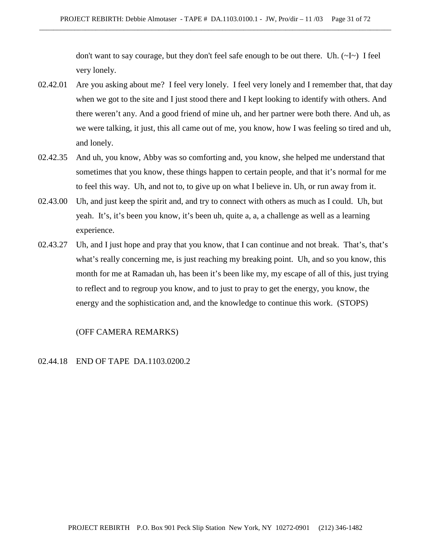don't want to say courage, but they don't feel safe enough to be out there. Uh.  $(\sim I \sim)$  I feel very lonely.

- 02.42.01 Are you asking about me? I feel very lonely. I feel very lonely and I remember that, that day when we got to the site and I just stood there and I kept looking to identify with others. And there weren't any. And a good friend of mine uh, and her partner were both there. And uh, as we were talking, it just, this all came out of me, you know, how I was feeling so tired and uh, and lonely.
- 02.42.35 And uh, you know, Abby was so comforting and, you know, she helped me understand that sometimes that you know, these things happen to certain people, and that it's normal for me to feel this way. Uh, and not to, to give up on what I believe in. Uh, or run away from it.
- 02.43.00 Uh, and just keep the spirit and, and try to connect with others as much as I could. Uh, but yeah. It's, it's been you know, it's been uh, quite a, a, a challenge as well as a learning experience.
- 02.43.27 Uh, and I just hope and pray that you know, that I can continue and not break. That's, that's what's really concerning me, is just reaching my breaking point. Uh, and so you know, this month for me at Ramadan uh, has been it's been like my, my escape of all of this, just trying to reflect and to regroup you know, and to just to pray to get the energy, you know, the energy and the sophistication and, and the knowledge to continue this work. (STOPS)

## (OFF CAMERA REMARKS)

# 02.44.18 END OF TAPE DA.1103.0200.2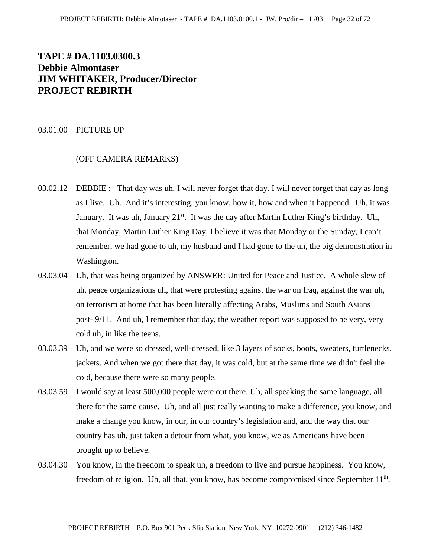# **TAPE # DA.1103.0300.3 Debbie Almontaser JIM WHITAKER, Producer/Director PROJECT REBIRTH**

#### 03.01.00 PICTURE UP

## (OFF CAMERA REMARKS)

- 03.02.12 DEBBIE : That day was uh, I will never forget that day. I will never forget that day as long as I live. Uh. And it's interesting, you know, how it, how and when it happened. Uh, it was January. It was uh, January  $21^{st}$ . It was the day after Martin Luther King's birthday. Uh, that Monday, Martin Luther King Day, I believe it was that Monday or the Sunday, I can't remember, we had gone to uh, my husband and I had gone to the uh, the big demonstration in Washington.
- 03.03.04 Uh, that was being organized by ANSWER: United for Peace and Justice. A whole slew of uh, peace organizations uh, that were protesting against the war on Iraq, against the war uh, on terrorism at home that has been literally affecting Arabs, Muslims and South Asians post- 9/11. And uh, I remember that day, the weather report was supposed to be very, very cold uh, in like the teens.
- 03.03.39 Uh, and we were so dressed, well-dressed, like 3 layers of socks, boots, sweaters, turtlenecks, jackets. And when we got there that day, it was cold, but at the same time we didn't feel the cold, because there were so many people.
- 03.03.59 I would say at least 500,000 people were out there. Uh, all speaking the same language, all there for the same cause. Uh, and all just really wanting to make a difference, you know, and make a change you know, in our, in our country's legislation and, and the way that our country has uh, just taken a detour from what, you know, we as Americans have been brought up to believe.
- 03.04.30 You know, in the freedom to speak uh, a freedom to live and pursue happiness. You know, freedom of religion. Uh, all that, you know, has become compromised since September 11<sup>th</sup>.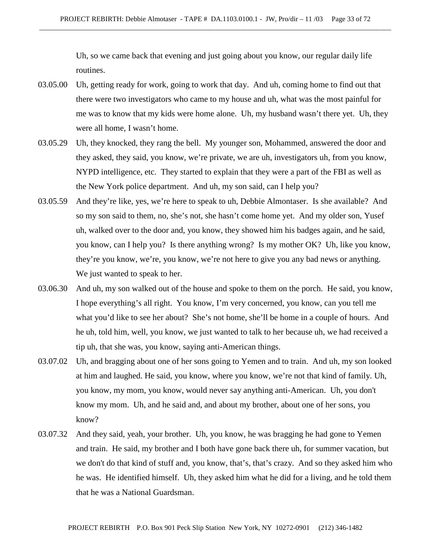Uh, so we came back that evening and just going about you know, our regular daily life routines.

- 03.05.00 Uh, getting ready for work, going to work that day. And uh, coming home to find out that there were two investigators who came to my house and uh, what was the most painful for me was to know that my kids were home alone. Uh, my husband wasn't there yet. Uh, they were all home, I wasn't home.
- 03.05.29 Uh, they knocked, they rang the bell. My younger son, Mohammed, answered the door and they asked, they said, you know, we're private, we are uh, investigators uh, from you know, NYPD intelligence, etc. They started to explain that they were a part of the FBI as well as the New York police department. And uh, my son said, can I help you?
- 03.05.59 And they're like, yes, we're here to speak to uh, Debbie Almontaser. Is she available? And so my son said to them, no, she's not, she hasn't come home yet. And my older son, Yusef uh, walked over to the door and, you know, they showed him his badges again, and he said, you know, can I help you? Is there anything wrong? Is my mother OK? Uh, like you know, they're you know, we're, you know, we're not here to give you any bad news or anything. We just wanted to speak to her.
- 03.06.30 And uh, my son walked out of the house and spoke to them on the porch. He said, you know, I hope everything's all right. You know, I'm very concerned, you know, can you tell me what you'd like to see her about? She's not home, she'll be home in a couple of hours. And he uh, told him, well, you know, we just wanted to talk to her because uh, we had received a tip uh, that she was, you know, saying anti-American things.
- 03.07.02 Uh, and bragging about one of her sons going to Yemen and to train. And uh, my son looked at him and laughed. He said, you know, where you know, we're not that kind of family. Uh, you know, my mom, you know, would never say anything anti-American. Uh, you don't know my mom. Uh, and he said and, and about my brother, about one of her sons, you know?
- 03.07.32 And they said, yeah, your brother. Uh, you know, he was bragging he had gone to Yemen and train. He said, my brother and I both have gone back there uh, for summer vacation, but we don't do that kind of stuff and, you know, that's, that's crazy. And so they asked him who he was. He identified himself. Uh, they asked him what he did for a living, and he told them that he was a National Guardsman.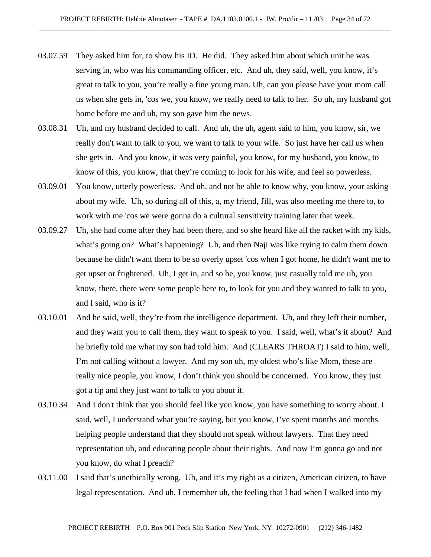- 03.07.59 They asked him for, to show his ID. He did. They asked him about which unit he was serving in, who was his commanding officer, etc. And uh, they said, well, you know, it's great to talk to you, you're really a fine young man. Uh, can you please have your mom call us when she gets in, 'cos we, you know, we really need to talk to her. So uh, my husband got home before me and uh, my son gave him the news.
- 03.08.31 Uh, and my husband decided to call. And uh, the uh, agent said to him, you know, sir, we really don't want to talk to you, we want to talk to your wife. So just have her call us when she gets in. And you know, it was very painful, you know, for my husband, you know, to know of this, you know, that they're coming to look for his wife, and feel so powerless.
- 03.09.01 You know, utterly powerless. And uh, and not be able to know why, you know, your asking about my wife. Uh, so during all of this, a, my friend, Jill, was also meeting me there to, to work with me 'cos we were gonna do a cultural sensitivity training later that week.
- 03.09.27 Uh, she had come after they had been there, and so she heard like all the racket with my kids, what's going on? What's happening? Uh, and then Naji was like trying to calm them down because he didn't want them to be so overly upset 'cos when I got home, he didn't want me to get upset or frightened. Uh, I get in, and so he, you know, just casually told me uh, you know, there, there were some people here to, to look for you and they wanted to talk to you, and I said, who is it?
- 03.10.01 And he said, well, they're from the intelligence department. Uh, and they left their number, and they want you to call them, they want to speak to you. I said, well, what's it about? And he briefly told me what my son had told him. And (CLEARS THROAT) I said to him, well, I'm not calling without a lawyer. And my son uh, my oldest who's like Mom, these are really nice people, you know, I don't think you should be concerned. You know, they just got a tip and they just want to talk to you about it.
- 03.10.34 And I don't think that you should feel like you know, you have something to worry about. I said, well, I understand what you're saying, but you know, I've spent months and months helping people understand that they should not speak without lawyers. That they need representation uh, and educating people about their rights. And now I'm gonna go and not you know, do what I preach?
- 03.11.00 I said that's unethically wrong. Uh, and it's my right as a citizen, American citizen, to have legal representation. And uh, I remember uh, the feeling that I had when I walked into my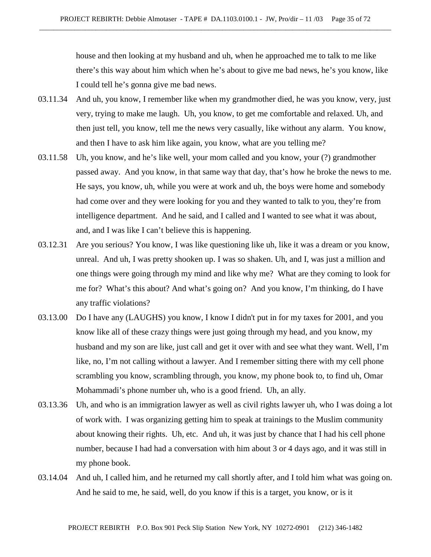house and then looking at my husband and uh, when he approached me to talk to me like there's this way about him which when he's about to give me bad news, he's you know, like I could tell he's gonna give me bad news.

- 03.11.34 And uh, you know, I remember like when my grandmother died, he was you know, very, just very, trying to make me laugh. Uh, you know, to get me comfortable and relaxed. Uh, and then just tell, you know, tell me the news very casually, like without any alarm. You know, and then I have to ask him like again, you know, what are you telling me?
- 03.11.58 Uh, you know, and he's like well, your mom called and you know, your (?) grandmother passed away. And you know, in that same way that day, that's how he broke the news to me. He says, you know, uh, while you were at work and uh, the boys were home and somebody had come over and they were looking for you and they wanted to talk to you, they're from intelligence department. And he said, and I called and I wanted to see what it was about, and, and I was like I can't believe this is happening.
- 03.12.31 Are you serious? You know, I was like questioning like uh, like it was a dream or you know, unreal. And uh, I was pretty shooken up. I was so shaken. Uh, and I, was just a million and one things were going through my mind and like why me? What are they coming to look for me for? What's this about? And what's going on? And you know, I'm thinking, do I have any traffic violations?
- 03.13.00 Do I have any (LAUGHS) you know, I know I didn't put in for my taxes for 2001, and you know like all of these crazy things were just going through my head, and you know, my husband and my son are like, just call and get it over with and see what they want. Well, I'm like, no, I'm not calling without a lawyer. And I remember sitting there with my cell phone scrambling you know, scrambling through, you know, my phone book to, to find uh, Omar Mohammadi's phone number uh, who is a good friend. Uh, an ally.
- 03.13.36 Uh, and who is an immigration lawyer as well as civil rights lawyer uh, who I was doing a lot of work with. I was organizing getting him to speak at trainings to the Muslim community about knowing their rights. Uh, etc. And uh, it was just by chance that I had his cell phone number, because I had had a conversation with him about 3 or 4 days ago, and it was still in my phone book.
- 03.14.04 And uh, I called him, and he returned my call shortly after, and I told him what was going on. And he said to me, he said, well, do you know if this is a target, you know, or is it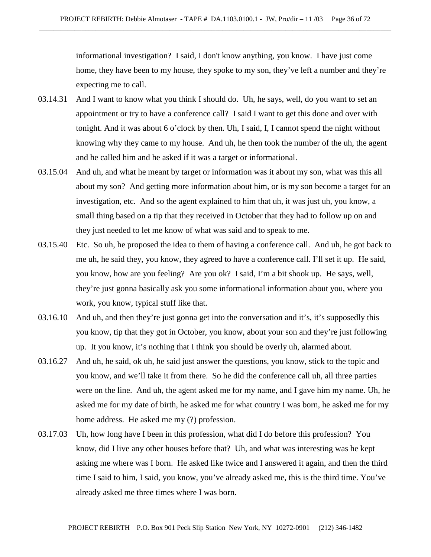informational investigation? I said, I don't know anything, you know. I have just come home, they have been to my house, they spoke to my son, they've left a number and they're expecting me to call.

- 03.14.31 And I want to know what you think I should do. Uh, he says, well, do you want to set an appointment or try to have a conference call? I said I want to get this done and over with tonight. And it was about 6 o'clock by then. Uh, I said, I, I cannot spend the night without knowing why they came to my house. And uh, he then took the number of the uh, the agent and he called him and he asked if it was a target or informational.
- 03.15.04 And uh, and what he meant by target or information was it about my son, what was this all about my son? And getting more information about him, or is my son become a target for an investigation, etc. And so the agent explained to him that uh, it was just uh, you know, a small thing based on a tip that they received in October that they had to follow up on and they just needed to let me know of what was said and to speak to me.
- 03.15.40 Etc. So uh, he proposed the idea to them of having a conference call. And uh, he got back to me uh, he said they, you know, they agreed to have a conference call. I'll set it up. He said, you know, how are you feeling? Are you ok? I said, I'm a bit shook up. He says, well, they're just gonna basically ask you some informational information about you, where you work, you know, typical stuff like that.
- 03.16.10 And uh, and then they're just gonna get into the conversation and it's, it's supposedly this you know, tip that they got in October, you know, about your son and they're just following up. It you know, it's nothing that I think you should be overly uh, alarmed about.
- 03.16.27 And uh, he said, ok uh, he said just answer the questions, you know, stick to the topic and you know, and we'll take it from there. So he did the conference call uh, all three parties were on the line. And uh, the agent asked me for my name, and I gave him my name. Uh, he asked me for my date of birth, he asked me for what country I was born, he asked me for my home address. He asked me my (?) profession.
- 03.17.03 Uh, how long have I been in this profession, what did I do before this profession? You know, did I live any other houses before that? Uh, and what was interesting was he kept asking me where was I born. He asked like twice and I answered it again, and then the third time I said to him, I said, you know, you've already asked me, this is the third time. You've already asked me three times where I was born.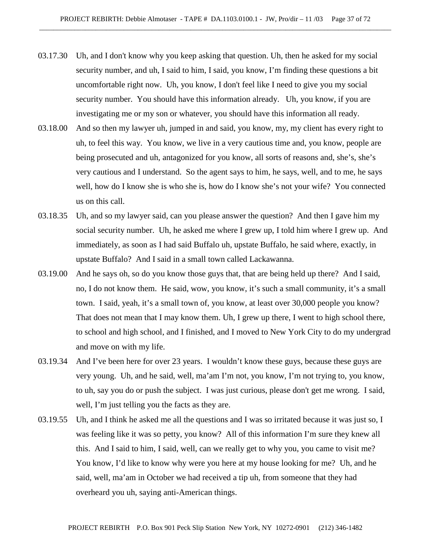- 03.17.30 Uh, and I don't know why you keep asking that question. Uh, then he asked for my social security number, and uh, I said to him, I said, you know, I'm finding these questions a bit uncomfortable right now. Uh, you know, I don't feel like I need to give you my social security number. You should have this information already. Uh, you know, if you are investigating me or my son or whatever, you should have this information all ready.
- 03.18.00 And so then my lawyer uh, jumped in and said, you know, my, my client has every right to uh, to feel this way. You know, we live in a very cautious time and, you know, people are being prosecuted and uh, antagonized for you know, all sorts of reasons and, she's, she's very cautious and I understand. So the agent says to him, he says, well, and to me, he says well, how do I know she is who she is, how do I know she's not your wife? You connected us on this call.
- 03.18.35 Uh, and so my lawyer said, can you please answer the question? And then I gave him my social security number. Uh, he asked me where I grew up, I told him where I grew up. And immediately, as soon as I had said Buffalo uh, upstate Buffalo, he said where, exactly, in upstate Buffalo? And I said in a small town called Lackawanna.
- 03.19.00 And he says oh, so do you know those guys that, that are being held up there? And I said, no, I do not know them. He said, wow, you know, it's such a small community, it's a small town. I said, yeah, it's a small town of, you know, at least over 30,000 people you know? That does not mean that I may know them. Uh, I grew up there, I went to high school there, to school and high school, and I finished, and I moved to New York City to do my undergrad and move on with my life.
- 03.19.34 And I've been here for over 23 years. I wouldn't know these guys, because these guys are very young. Uh, and he said, well, ma'am I'm not, you know, I'm not trying to, you know, to uh, say you do or push the subject. I was just curious, please don't get me wrong. I said, well, I'm just telling you the facts as they are.
- 03.19.55 Uh, and I think he asked me all the questions and I was so irritated because it was just so, I was feeling like it was so petty, you know? All of this information I'm sure they knew all this. And I said to him, I said, well, can we really get to why you, you came to visit me? You know, I'd like to know why were you here at my house looking for me? Uh, and he said, well, ma'am in October we had received a tip uh, from someone that they had overheard you uh, saying anti-American things.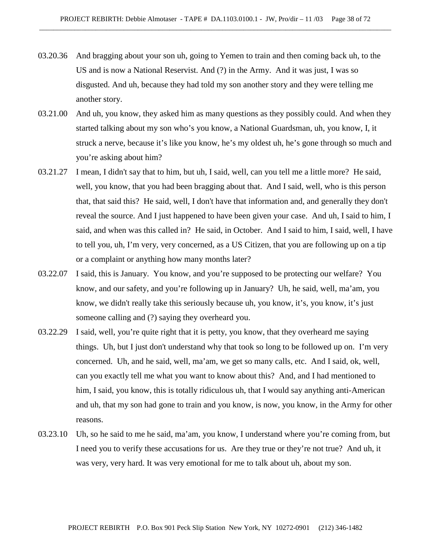- 03.20.36 And bragging about your son uh, going to Yemen to train and then coming back uh, to the US and is now a National Reservist. And (?) in the Army. And it was just, I was so disgusted. And uh, because they had told my son another story and they were telling me another story.
- 03.21.00 And uh, you know, they asked him as many questions as they possibly could. And when they started talking about my son who's you know, a National Guardsman, uh, you know, I, it struck a nerve, because it's like you know, he's my oldest uh, he's gone through so much and you're asking about him?
- 03.21.27 I mean, I didn't say that to him, but uh, I said, well, can you tell me a little more? He said, well, you know, that you had been bragging about that. And I said, well, who is this person that, that said this? He said, well, I don't have that information and, and generally they don't reveal the source. And I just happened to have been given your case. And uh, I said to him, I said, and when was this called in? He said, in October. And I said to him, I said, well, I have to tell you, uh, I'm very, very concerned, as a US Citizen, that you are following up on a tip or a complaint or anything how many months later?
- 03.22.07 I said, this is January. You know, and you're supposed to be protecting our welfare? You know, and our safety, and you're following up in January? Uh, he said, well, ma'am, you know, we didn't really take this seriously because uh, you know, it's, you know, it's just someone calling and (?) saying they overheard you.
- 03.22.29 I said, well, you're quite right that it is petty, you know, that they overheard me saying things. Uh, but I just don't understand why that took so long to be followed up on. I'm very concerned. Uh, and he said, well, ma'am, we get so many calls, etc. And I said, ok, well, can you exactly tell me what you want to know about this? And, and I had mentioned to him, I said, you know, this is totally ridiculous uh, that I would say anything anti-American and uh, that my son had gone to train and you know, is now, you know, in the Army for other reasons.
- 03.23.10 Uh, so he said to me he said, ma'am, you know, I understand where you're coming from, but I need you to verify these accusations for us. Are they true or they're not true? And uh, it was very, very hard. It was very emotional for me to talk about uh, about my son.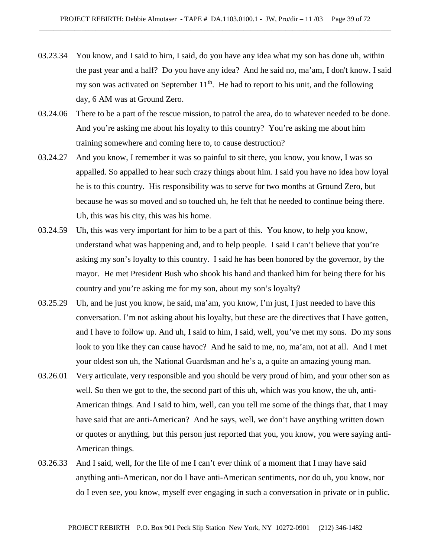- 03.23.34 You know, and I said to him, I said, do you have any idea what my son has done uh, within the past year and a half? Do you have any idea? And he said no, ma'am, I don't know. I said my son was activated on September  $11<sup>th</sup>$ . He had to report to his unit, and the following day, 6 AM was at Ground Zero.
- 03.24.06 There to be a part of the rescue mission, to patrol the area, do to whatever needed to be done. And you're asking me about his loyalty to this country? You're asking me about him training somewhere and coming here to, to cause destruction?
- 03.24.27 And you know, I remember it was so painful to sit there, you know, you know, I was so appalled. So appalled to hear such crazy things about him. I said you have no idea how loyal he is to this country. His responsibility was to serve for two months at Ground Zero, but because he was so moved and so touched uh, he felt that he needed to continue being there. Uh, this was his city, this was his home.
- 03.24.59 Uh, this was very important for him to be a part of this. You know, to help you know, understand what was happening and, and to help people. I said I can't believe that you're asking my son's loyalty to this country. I said he has been honored by the governor, by the mayor. He met President Bush who shook his hand and thanked him for being there for his country and you're asking me for my son, about my son's loyalty?
- 03.25.29 Uh, and he just you know, he said, ma'am, you know, I'm just, I just needed to have this conversation. I'm not asking about his loyalty, but these are the directives that I have gotten, and I have to follow up. And uh, I said to him, I said, well, you've met my sons. Do my sons look to you like they can cause havoc? And he said to me, no, ma'am, not at all. And I met your oldest son uh, the National Guardsman and he's a, a quite an amazing young man.
- 03.26.01 Very articulate, very responsible and you should be very proud of him, and your other son as well. So then we got to the, the second part of this uh, which was you know, the uh, anti-American things. And I said to him, well, can you tell me some of the things that, that I may have said that are anti-American? And he says, well, we don't have anything written down or quotes or anything, but this person just reported that you, you know, you were saying anti-American things.
- 03.26.33 And I said, well, for the life of me I can't ever think of a moment that I may have said anything anti-American, nor do I have anti-American sentiments, nor do uh, you know, nor do I even see, you know, myself ever engaging in such a conversation in private or in public.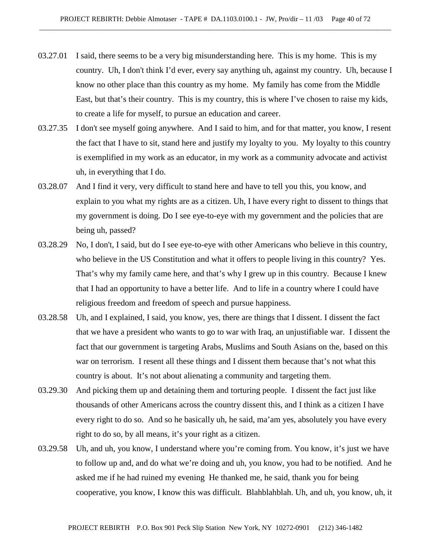- 03.27.01 I said, there seems to be a very big misunderstanding here. This is my home. This is my country. Uh, I don't think I'd ever, every say anything uh, against my country. Uh, because I know no other place than this country as my home. My family has come from the Middle East, but that's their country. This is my country, this is where I've chosen to raise my kids, to create a life for myself, to pursue an education and career.
- 03.27.35 I don't see myself going anywhere. And I said to him, and for that matter, you know, I resent the fact that I have to sit, stand here and justify my loyalty to you. My loyalty to this country is exemplified in my work as an educator, in my work as a community advocate and activist uh, in everything that I do.
- 03.28.07 And I find it very, very difficult to stand here and have to tell you this, you know, and explain to you what my rights are as a citizen. Uh, I have every right to dissent to things that my government is doing. Do I see eye-to-eye with my government and the policies that are being uh, passed?
- 03.28.29 No, I don't, I said, but do I see eye-to-eye with other Americans who believe in this country, who believe in the US Constitution and what it offers to people living in this country? Yes. That's why my family came here, and that's why I grew up in this country. Because I knew that I had an opportunity to have a better life. And to life in a country where I could have religious freedom and freedom of speech and pursue happiness.
- 03.28.58 Uh, and I explained, I said, you know, yes, there are things that I dissent. I dissent the fact that we have a president who wants to go to war with Iraq, an unjustifiable war. I dissent the fact that our government is targeting Arabs, Muslims and South Asians on the, based on this war on terrorism. I resent all these things and I dissent them because that's not what this country is about. It's not about alienating a community and targeting them.
- 03.29.30 And picking them up and detaining them and torturing people. I dissent the fact just like thousands of other Americans across the country dissent this, and I think as a citizen I have every right to do so. And so he basically uh, he said, ma'am yes, absolutely you have every right to do so, by all means, it's your right as a citizen.
- 03.29.58 Uh, and uh, you know, I understand where you're coming from. You know, it's just we have to follow up and, and do what we're doing and uh, you know, you had to be notified. And he asked me if he had ruined my evening He thanked me, he said, thank you for being cooperative, you know, I know this was difficult. Blahblahblah. Uh, and uh, you know, uh, it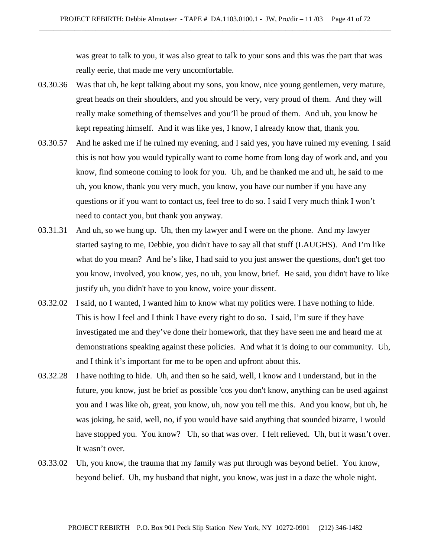was great to talk to you, it was also great to talk to your sons and this was the part that was really eerie, that made me very uncomfortable.

- 03.30.36 Was that uh, he kept talking about my sons, you know, nice young gentlemen, very mature, great heads on their shoulders, and you should be very, very proud of them. And they will really make something of themselves and you'll be proud of them. And uh, you know he kept repeating himself. And it was like yes, I know, I already know that, thank you.
- 03.30.57 And he asked me if he ruined my evening, and I said yes, you have ruined my evening. I said this is not how you would typically want to come home from long day of work and, and you know, find someone coming to look for you. Uh, and he thanked me and uh, he said to me uh, you know, thank you very much, you know, you have our number if you have any questions or if you want to contact us, feel free to do so. I said I very much think I won't need to contact you, but thank you anyway.
- 03.31.31 And uh, so we hung up. Uh, then my lawyer and I were on the phone. And my lawyer started saying to me, Debbie, you didn't have to say all that stuff (LAUGHS). And I'm like what do you mean? And he's like, I had said to you just answer the questions, don't get too you know, involved, you know, yes, no uh, you know, brief. He said, you didn't have to like justify uh, you didn't have to you know, voice your dissent.
- 03.32.02 I said, no I wanted, I wanted him to know what my politics were. I have nothing to hide. This is how I feel and I think I have every right to do so. I said, I'm sure if they have investigated me and they've done their homework, that they have seen me and heard me at demonstrations speaking against these policies. And what it is doing to our community. Uh, and I think it's important for me to be open and upfront about this.
- 03.32.28 I have nothing to hide. Uh, and then so he said, well, I know and I understand, but in the future, you know, just be brief as possible 'cos you don't know, anything can be used against you and I was like oh, great, you know, uh, now you tell me this. And you know, but uh, he was joking, he said, well, no, if you would have said anything that sounded bizarre, I would have stopped you. You know? Uh, so that was over. I felt relieved. Uh, but it wasn't over. It wasn't over.
- 03.33.02 Uh, you know, the trauma that my family was put through was beyond belief. You know, beyond belief. Uh, my husband that night, you know, was just in a daze the whole night.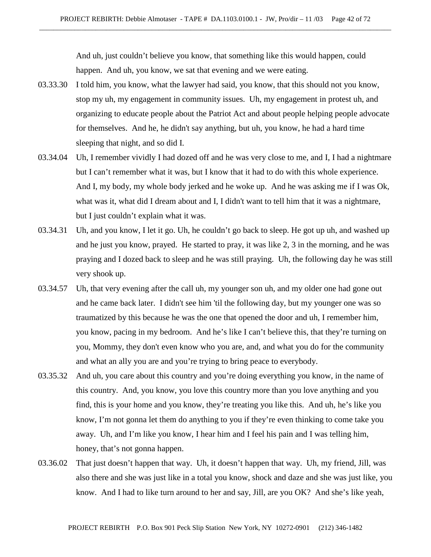And uh, just couldn't believe you know, that something like this would happen, could happen. And uh, you know, we sat that evening and we were eating.

- 03.33.30 I told him, you know, what the lawyer had said, you know, that this should not you know, stop my uh, my engagement in community issues. Uh, my engagement in protest uh, and organizing to educate people about the Patriot Act and about people helping people advocate for themselves. And he, he didn't say anything, but uh, you know, he had a hard time sleeping that night, and so did I.
- 03.34.04 Uh, I remember vividly I had dozed off and he was very close to me, and I, I had a nightmare but I can't remember what it was, but I know that it had to do with this whole experience. And I, my body, my whole body jerked and he woke up. And he was asking me if I was Ok, what was it, what did I dream about and I, I didn't want to tell him that it was a nightmare, but I just couldn't explain what it was.
- 03.34.31 Uh, and you know, I let it go. Uh, he couldn't go back to sleep. He got up uh, and washed up and he just you know, prayed. He started to pray, it was like 2, 3 in the morning, and he was praying and I dozed back to sleep and he was still praying. Uh, the following day he was still very shook up.
- 03.34.57 Uh, that very evening after the call uh, my younger son uh, and my older one had gone out and he came back later. I didn't see him 'til the following day, but my younger one was so traumatized by this because he was the one that opened the door and uh, I remember him, you know, pacing in my bedroom. And he's like I can't believe this, that they're turning on you, Mommy, they don't even know who you are, and, and what you do for the community and what an ally you are and you're trying to bring peace to everybody.
- 03.35.32 And uh, you care about this country and you're doing everything you know, in the name of this country. And, you know, you love this country more than you love anything and you find, this is your home and you know, they're treating you like this. And uh, he's like you know, I'm not gonna let them do anything to you if they're even thinking to come take you away. Uh, and I'm like you know, I hear him and I feel his pain and I was telling him, honey, that's not gonna happen.
- 03.36.02 That just doesn't happen that way. Uh, it doesn't happen that way. Uh, my friend, Jill, was also there and she was just like in a total you know, shock and daze and she was just like, you know. And I had to like turn around to her and say, Jill, are you OK? And she's like yeah,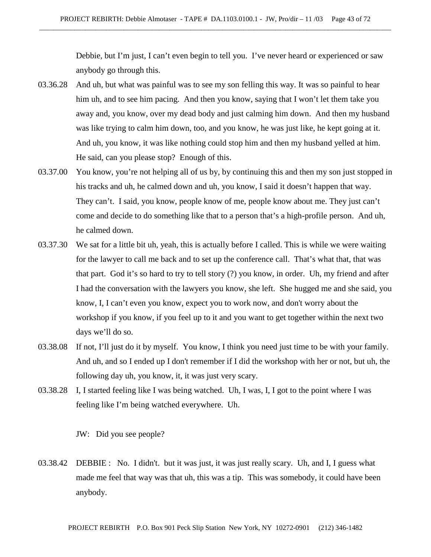Debbie, but I'm just, I can't even begin to tell you. I've never heard or experienced or saw anybody go through this.

- 03.36.28 And uh, but what was painful was to see my son felling this way. It was so painful to hear him uh, and to see him pacing. And then you know, saying that I won't let them take you away and, you know, over my dead body and just calming him down. And then my husband was like trying to calm him down, too, and you know, he was just like, he kept going at it. And uh, you know, it was like nothing could stop him and then my husband yelled at him. He said, can you please stop? Enough of this.
- 03.37.00 You know, you're not helping all of us by, by continuing this and then my son just stopped in his tracks and uh, he calmed down and uh, you know, I said it doesn't happen that way. They can't. I said, you know, people know of me, people know about me. They just can't come and decide to do something like that to a person that's a high-profile person. And uh, he calmed down.
- 03.37.30 We sat for a little bit uh, yeah, this is actually before I called. This is while we were waiting for the lawyer to call me back and to set up the conference call. That's what that, that was that part. God it's so hard to try to tell story (?) you know, in order. Uh, my friend and after I had the conversation with the lawyers you know, she left. She hugged me and she said, you know, I, I can't even you know, expect you to work now, and don't worry about the workshop if you know, if you feel up to it and you want to get together within the next two days we'll do so.
- 03.38.08 If not, I'll just do it by myself. You know, I think you need just time to be with your family. And uh, and so I ended up I don't remember if I did the workshop with her or not, but uh, the following day uh, you know, it, it was just very scary.
- 03.38.28 I, I started feeling like I was being watched. Uh, I was, I, I got to the point where I was feeling like I'm being watched everywhere. Uh.

JW: Did you see people?

03.38.42 DEBBIE : No. I didn't. but it was just, it was just really scary. Uh, and I, I guess what made me feel that way was that uh, this was a tip. This was somebody, it could have been anybody.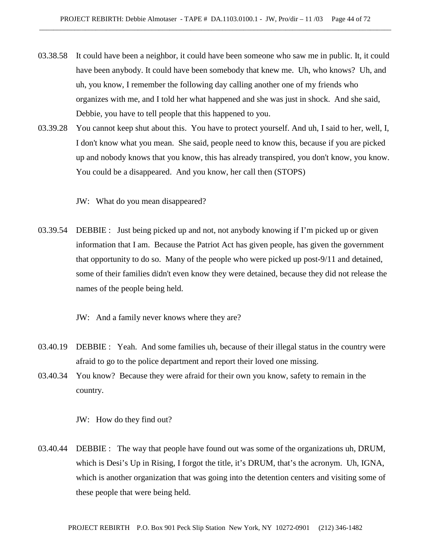- 03.38.58 It could have been a neighbor, it could have been someone who saw me in public. It, it could have been anybody. It could have been somebody that knew me. Uh, who knows? Uh, and uh, you know, I remember the following day calling another one of my friends who organizes with me, and I told her what happened and she was just in shock. And she said, Debbie, you have to tell people that this happened to you.
- 03.39.28 You cannot keep shut about this. You have to protect yourself. And uh, I said to her, well, I, I don't know what you mean. She said, people need to know this, because if you are picked up and nobody knows that you know, this has already transpired, you don't know, you know. You could be a disappeared. And you know, her call then (STOPS)

JW: What do you mean disappeared?

03.39.54 DEBBIE : Just being picked up and not, not anybody knowing if I'm picked up or given information that I am. Because the Patriot Act has given people, has given the government that opportunity to do so. Many of the people who were picked up post-9/11 and detained, some of their families didn't even know they were detained, because they did not release the names of the people being held.

JW: And a family never knows where they are?

- 03.40.19 DEBBIE : Yeah. And some families uh, because of their illegal status in the country were afraid to go to the police department and report their loved one missing.
- 03.40.34 You know? Because they were afraid for their own you know, safety to remain in the country.

JW: How do they find out?

03.40.44 DEBBIE : The way that people have found out was some of the organizations uh, DRUM, which is Desi's Up in Rising, I forgot the title, it's DRUM, that's the acronym. Uh, IGNA, which is another organization that was going into the detention centers and visiting some of these people that were being held.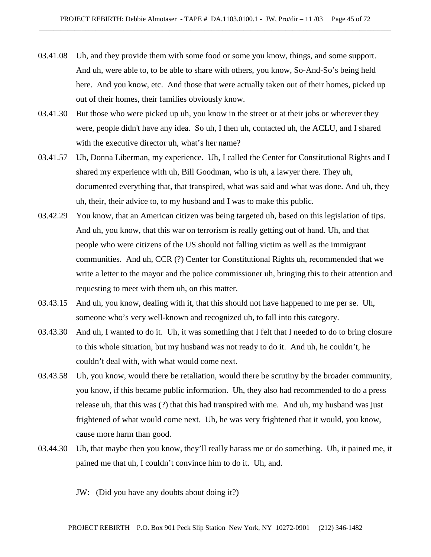- 03.41.08 Uh, and they provide them with some food or some you know, things, and some support. And uh, were able to, to be able to share with others, you know, So-And-So's being held here. And you know, etc. And those that were actually taken out of their homes, picked up out of their homes, their families obviously know.
- 03.41.30 But those who were picked up uh, you know in the street or at their jobs or wherever they were, people didn't have any idea. So uh, I then uh, contacted uh, the ACLU, and I shared with the executive director uh, what's her name?
- 03.41.57 Uh, Donna Liberman, my experience. Uh, I called the Center for Constitutional Rights and I shared my experience with uh, Bill Goodman, who is uh, a lawyer there. They uh, documented everything that, that transpired, what was said and what was done. And uh, they uh, their, their advice to, to my husband and I was to make this public.
- 03.42.29 You know, that an American citizen was being targeted uh, based on this legislation of tips. And uh, you know, that this war on terrorism is really getting out of hand. Uh, and that people who were citizens of the US should not falling victim as well as the immigrant communities. And uh, CCR (?) Center for Constitutional Rights uh, recommended that we write a letter to the mayor and the police commissioner uh, bringing this to their attention and requesting to meet with them uh, on this matter.
- 03.43.15 And uh, you know, dealing with it, that this should not have happened to me per se. Uh, someone who's very well-known and recognized uh, to fall into this category.
- 03.43.30 And uh, I wanted to do it. Uh, it was something that I felt that I needed to do to bring closure to this whole situation, but my husband was not ready to do it. And uh, he couldn't, he couldn't deal with, with what would come next.
- 03.43.58 Uh, you know, would there be retaliation, would there be scrutiny by the broader community, you know, if this became public information. Uh, they also had recommended to do a press release uh, that this was (?) that this had transpired with me. And uh, my husband was just frightened of what would come next. Uh, he was very frightened that it would, you know, cause more harm than good.
- 03.44.30 Uh, that maybe then you know, they'll really harass me or do something. Uh, it pained me, it pained me that uh, I couldn't convince him to do it. Uh, and.

JW: (Did you have any doubts about doing it?)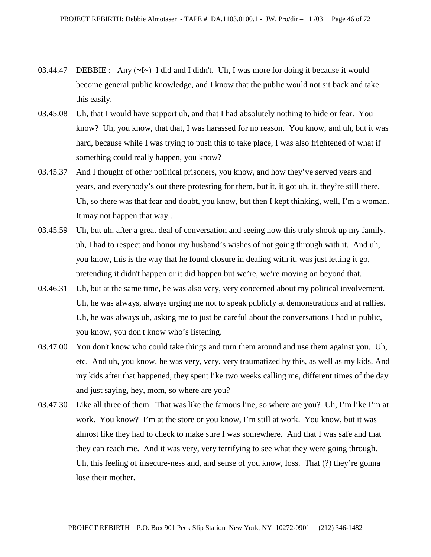- 03.44.47 DEBBIE : Any  $(\sim I \sim)$  I did and I didn't. Uh, I was more for doing it because it would become general public knowledge, and I know that the public would not sit back and take this easily.
- 03.45.08 Uh, that I would have support uh, and that I had absolutely nothing to hide or fear. You know? Uh, you know, that that, I was harassed for no reason. You know, and uh, but it was hard, because while I was trying to push this to take place, I was also frightened of what if something could really happen, you know?
- 03.45.37 And I thought of other political prisoners, you know, and how they've served years and years, and everybody's out there protesting for them, but it, it got uh, it, they're still there. Uh, so there was that fear and doubt, you know, but then I kept thinking, well, I'm a woman. It may not happen that way .
- 03.45.59 Uh, but uh, after a great deal of conversation and seeing how this truly shook up my family, uh, I had to respect and honor my husband's wishes of not going through with it. And uh, you know, this is the way that he found closure in dealing with it, was just letting it go, pretending it didn't happen or it did happen but we're, we're moving on beyond that.
- 03.46.31 Uh, but at the same time, he was also very, very concerned about my political involvement. Uh, he was always, always urging me not to speak publicly at demonstrations and at rallies. Uh, he was always uh, asking me to just be careful about the conversations I had in public, you know, you don't know who's listening.
- 03.47.00 You don't know who could take things and turn them around and use them against you. Uh, etc. And uh, you know, he was very, very, very traumatized by this, as well as my kids. And my kids after that happened, they spent like two weeks calling me, different times of the day and just saying, hey, mom, so where are you?
- 03.47.30 Like all three of them. That was like the famous line, so where are you? Uh, I'm like I'm at work. You know? I'm at the store or you know, I'm still at work. You know, but it was almost like they had to check to make sure I was somewhere. And that I was safe and that they can reach me. And it was very, very terrifying to see what they were going through. Uh, this feeling of insecure-ness and, and sense of you know, loss. That (?) they're gonna lose their mother.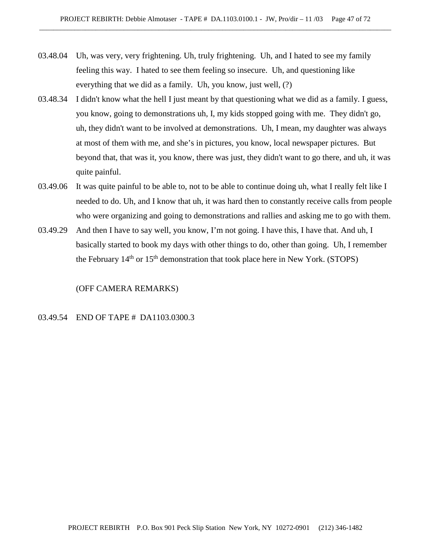- 03.48.04 Uh, was very, very frightening. Uh, truly frightening. Uh, and I hated to see my family feeling this way. I hated to see them feeling so insecure. Uh, and questioning like everything that we did as a family. Uh, you know, just well, (?)
- 03.48.34 I didn't know what the hell I just meant by that questioning what we did as a family. I guess, you know, going to demonstrations uh, I, my kids stopped going with me. They didn't go, uh, they didn't want to be involved at demonstrations. Uh, I mean, my daughter was always at most of them with me, and she's in pictures, you know, local newspaper pictures. But beyond that, that was it, you know, there was just, they didn't want to go there, and uh, it was quite painful.
- 03.49.06 It was quite painful to be able to, not to be able to continue doing uh, what I really felt like I needed to do. Uh, and I know that uh, it was hard then to constantly receive calls from people who were organizing and going to demonstrations and rallies and asking me to go with them.
- 03.49.29 And then I have to say well, you know, I'm not going. I have this, I have that. And uh, I basically started to book my days with other things to do, other than going. Uh, I remember the February  $14<sup>th</sup>$  or  $15<sup>th</sup>$  demonstration that took place here in New York. (STOPS)

(OFF CAMERA REMARKS)

# 03.49.54 END OF TAPE # DA1103.0300.3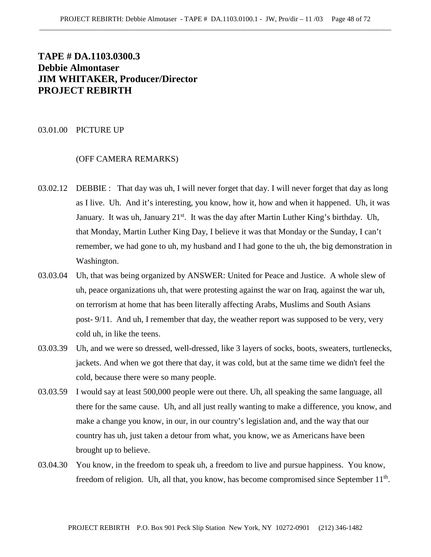# **TAPE # DA.1103.0300.3 Debbie Almontaser JIM WHITAKER, Producer/Director PROJECT REBIRTH**

#### 03.01.00 PICTURE UP

## (OFF CAMERA REMARKS)

- 03.02.12 DEBBIE : That day was uh, I will never forget that day. I will never forget that day as long as I live. Uh. And it's interesting, you know, how it, how and when it happened. Uh, it was January. It was uh, January  $21^{st}$ . It was the day after Martin Luther King's birthday. Uh, that Monday, Martin Luther King Day, I believe it was that Monday or the Sunday, I can't remember, we had gone to uh, my husband and I had gone to the uh, the big demonstration in Washington.
- 03.03.04 Uh, that was being organized by ANSWER: United for Peace and Justice. A whole slew of uh, peace organizations uh, that were protesting against the war on Iraq, against the war uh, on terrorism at home that has been literally affecting Arabs, Muslims and South Asians post- 9/11. And uh, I remember that day, the weather report was supposed to be very, very cold uh, in like the teens.
- 03.03.39 Uh, and we were so dressed, well-dressed, like 3 layers of socks, boots, sweaters, turtlenecks, jackets. And when we got there that day, it was cold, but at the same time we didn't feel the cold, because there were so many people.
- 03.03.59 I would say at least 500,000 people were out there. Uh, all speaking the same language, all there for the same cause. Uh, and all just really wanting to make a difference, you know, and make a change you know, in our, in our country's legislation and, and the way that our country has uh, just taken a detour from what, you know, we as Americans have been brought up to believe.
- 03.04.30 You know, in the freedom to speak uh, a freedom to live and pursue happiness. You know, freedom of religion. Uh, all that, you know, has become compromised since September  $11<sup>th</sup>$ .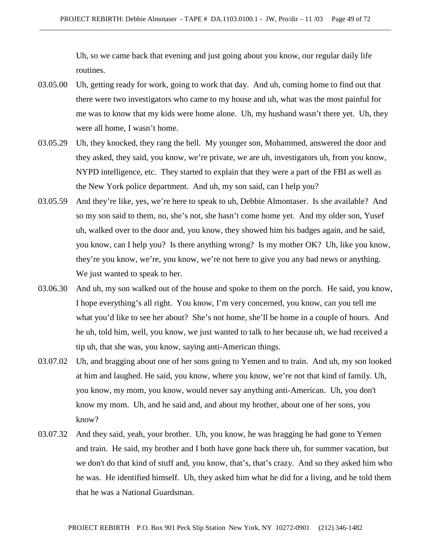Uh, so we came back that evening and just going about you know, our regular daily life routines.

- 03.05.00 Uh, getting ready for work, going to work that day. And uh, coming home to find out that there were two investigators who came to my house and uh, what was the most painful for me was to know that my kids were home alone. Uh, my husband wasn't there yet. Uh, they were all home, I wasn't home.
- 03.05.29 Uh, they knocked, they rang the bell. My younger son, Mohammed, answered the door and they asked, they said, you know, we're private, we are uh, investigators uh, from you know, NYPD intelligence, etc. They started to explain that they were a part of the FBI as well as the New York police department. And uh, my son said, can I help you?
- 03.05.59 And they're like, yes, we're here to speak to uh, Debbie Almontaser. Is she available? And so my son said to them, no, she's not, she hasn't come home yet. And my older son, Yusef uh, walked over to the door and, you know, they showed him his badges again, and he said, you know, can I help you? Is there anything wrong? Is my mother OK? Uh, like you know, they're you know, we're, you know, we're not here to give you any bad news or anything. We just wanted to speak to her.
- 03.06.30 And uh, my son walked out of the house and spoke to them on the porch. He said, you know, I hope everything's all right. You know, I'm very concerned, you know, can you tell me what you'd like to see her about? She's not home, she'll be home in a couple of hours. And he uh, told him, well, you know, we just wanted to talk to her because uh, we had received a tip uh, that she was, you know, saying anti-American things.
- 03.07.02 Uh, and bragging about one of her sons going to Yemen and to train. And uh, my son looked at him and laughed. He said, you know, where you know, we're not that kind of family. Uh, you know, my mom, you know, would never say anything anti-American. Uh, you don't know my mom. Uh, and he said and, and about my brother, about one of her sons, you know?
- 03.07.32 And they said, yeah, your brother. Uh, you know, he was bragging he had gone to Yemen and train. He said, my brother and I both have gone back there uh, for summer vacation, but we don't do that kind of stuff and, you know, that's, that's crazy. And so they asked him who he was. He identified himself. Uh, they asked him what he did for a living, and he told them that he was a National Guardsman.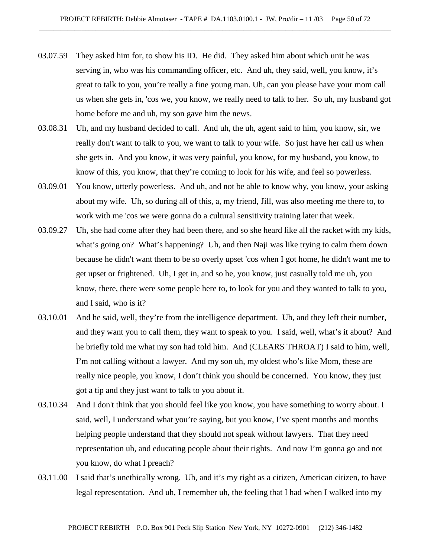- 03.07.59 They asked him for, to show his ID. He did. They asked him about which unit he was serving in, who was his commanding officer, etc. And uh, they said, well, you know, it's great to talk to you, you're really a fine young man. Uh, can you please have your mom call us when she gets in, 'cos we, you know, we really need to talk to her. So uh, my husband got home before me and uh, my son gave him the news.
- 03.08.31 Uh, and my husband decided to call. And uh, the uh, agent said to him, you know, sir, we really don't want to talk to you, we want to talk to your wife. So just have her call us when she gets in. And you know, it was very painful, you know, for my husband, you know, to know of this, you know, that they're coming to look for his wife, and feel so powerless.
- 03.09.01 You know, utterly powerless. And uh, and not be able to know why, you know, your asking about my wife. Uh, so during all of this, a, my friend, Jill, was also meeting me there to, to work with me 'cos we were gonna do a cultural sensitivity training later that week.
- 03.09.27 Uh, she had come after they had been there, and so she heard like all the racket with my kids, what's going on? What's happening? Uh, and then Naji was like trying to calm them down because he didn't want them to be so overly upset 'cos when I got home, he didn't want me to get upset or frightened. Uh, I get in, and so he, you know, just casually told me uh, you know, there, there were some people here to, to look for you and they wanted to talk to you, and I said, who is it?
- 03.10.01 And he said, well, they're from the intelligence department. Uh, and they left their number, and they want you to call them, they want to speak to you. I said, well, what's it about? And he briefly told me what my son had told him. And (CLEARS THROAT) I said to him, well, I'm not calling without a lawyer. And my son uh, my oldest who's like Mom, these are really nice people, you know, I don't think you should be concerned. You know, they just got a tip and they just want to talk to you about it.
- 03.10.34 And I don't think that you should feel like you know, you have something to worry about. I said, well, I understand what you're saying, but you know, I've spent months and months helping people understand that they should not speak without lawyers. That they need representation uh, and educating people about their rights. And now I'm gonna go and not you know, do what I preach?
- 03.11.00 I said that's unethically wrong. Uh, and it's my right as a citizen, American citizen, to have legal representation. And uh, I remember uh, the feeling that I had when I walked into my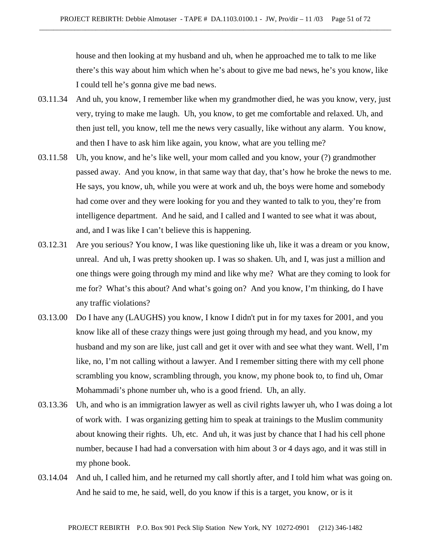house and then looking at my husband and uh, when he approached me to talk to me like there's this way about him which when he's about to give me bad news, he's you know, like I could tell he's gonna give me bad news.

- 03.11.34 And uh, you know, I remember like when my grandmother died, he was you know, very, just very, trying to make me laugh. Uh, you know, to get me comfortable and relaxed. Uh, and then just tell, you know, tell me the news very casually, like without any alarm. You know, and then I have to ask him like again, you know, what are you telling me?
- 03.11.58 Uh, you know, and he's like well, your mom called and you know, your (?) grandmother passed away. And you know, in that same way that day, that's how he broke the news to me. He says, you know, uh, while you were at work and uh, the boys were home and somebody had come over and they were looking for you and they wanted to talk to you, they're from intelligence department. And he said, and I called and I wanted to see what it was about, and, and I was like I can't believe this is happening.
- 03.12.31 Are you serious? You know, I was like questioning like uh, like it was a dream or you know, unreal. And uh, I was pretty shooken up. I was so shaken. Uh, and I, was just a million and one things were going through my mind and like why me? What are they coming to look for me for? What's this about? And what's going on? And you know, I'm thinking, do I have any traffic violations?
- 03.13.00 Do I have any (LAUGHS) you know, I know I didn't put in for my taxes for 2001, and you know like all of these crazy things were just going through my head, and you know, my husband and my son are like, just call and get it over with and see what they want. Well, I'm like, no, I'm not calling without a lawyer. And I remember sitting there with my cell phone scrambling you know, scrambling through, you know, my phone book to, to find uh, Omar Mohammadi's phone number uh, who is a good friend. Uh, an ally.
- 03.13.36 Uh, and who is an immigration lawyer as well as civil rights lawyer uh, who I was doing a lot of work with. I was organizing getting him to speak at trainings to the Muslim community about knowing their rights. Uh, etc. And uh, it was just by chance that I had his cell phone number, because I had had a conversation with him about 3 or 4 days ago, and it was still in my phone book.
- 03.14.04 And uh, I called him, and he returned my call shortly after, and I told him what was going on. And he said to me, he said, well, do you know if this is a target, you know, or is it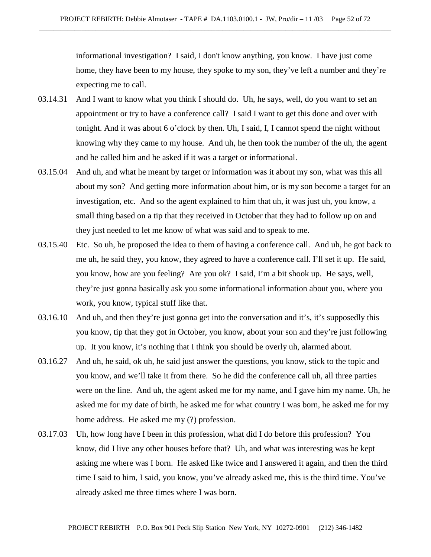informational investigation? I said, I don't know anything, you know. I have just come home, they have been to my house, they spoke to my son, they've left a number and they're expecting me to call.

- 03.14.31 And I want to know what you think I should do. Uh, he says, well, do you want to set an appointment or try to have a conference call? I said I want to get this done and over with tonight. And it was about 6 o'clock by then. Uh, I said, I, I cannot spend the night without knowing why they came to my house. And uh, he then took the number of the uh, the agent and he called him and he asked if it was a target or informational.
- 03.15.04 And uh, and what he meant by target or information was it about my son, what was this all about my son? And getting more information about him, or is my son become a target for an investigation, etc. And so the agent explained to him that uh, it was just uh, you know, a small thing based on a tip that they received in October that they had to follow up on and they just needed to let me know of what was said and to speak to me.
- 03.15.40 Etc. So uh, he proposed the idea to them of having a conference call. And uh, he got back to me uh, he said they, you know, they agreed to have a conference call. I'll set it up. He said, you know, how are you feeling? Are you ok? I said, I'm a bit shook up. He says, well, they're just gonna basically ask you some informational information about you, where you work, you know, typical stuff like that.
- 03.16.10 And uh, and then they're just gonna get into the conversation and it's, it's supposedly this you know, tip that they got in October, you know, about your son and they're just following up. It you know, it's nothing that I think you should be overly uh, alarmed about.
- 03.16.27 And uh, he said, ok uh, he said just answer the questions, you know, stick to the topic and you know, and we'll take it from there. So he did the conference call uh, all three parties were on the line. And uh, the agent asked me for my name, and I gave him my name. Uh, he asked me for my date of birth, he asked me for what country I was born, he asked me for my home address. He asked me my (?) profession.
- 03.17.03 Uh, how long have I been in this profession, what did I do before this profession? You know, did I live any other houses before that? Uh, and what was interesting was he kept asking me where was I born. He asked like twice and I answered it again, and then the third time I said to him, I said, you know, you've already asked me, this is the third time. You've already asked me three times where I was born.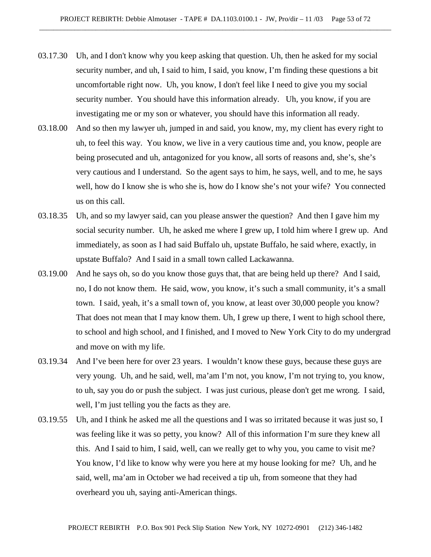- 03.17.30 Uh, and I don't know why you keep asking that question. Uh, then he asked for my social security number, and uh, I said to him, I said, you know, I'm finding these questions a bit uncomfortable right now. Uh, you know, I don't feel like I need to give you my social security number. You should have this information already. Uh, you know, if you are investigating me or my son or whatever, you should have this information all ready.
- 03.18.00 And so then my lawyer uh, jumped in and said, you know, my, my client has every right to uh, to feel this way. You know, we live in a very cautious time and, you know, people are being prosecuted and uh, antagonized for you know, all sorts of reasons and, she's, she's very cautious and I understand. So the agent says to him, he says, well, and to me, he says well, how do I know she is who she is, how do I know she's not your wife? You connected us on this call.
- 03.18.35 Uh, and so my lawyer said, can you please answer the question? And then I gave him my social security number. Uh, he asked me where I grew up, I told him where I grew up. And immediately, as soon as I had said Buffalo uh, upstate Buffalo, he said where, exactly, in upstate Buffalo? And I said in a small town called Lackawanna.
- 03.19.00 And he says oh, so do you know those guys that, that are being held up there? And I said, no, I do not know them. He said, wow, you know, it's such a small community, it's a small town. I said, yeah, it's a small town of, you know, at least over 30,000 people you know? That does not mean that I may know them. Uh, I grew up there, I went to high school there, to school and high school, and I finished, and I moved to New York City to do my undergrad and move on with my life.
- 03.19.34 And I've been here for over 23 years. I wouldn't know these guys, because these guys are very young. Uh, and he said, well, ma'am I'm not, you know, I'm not trying to, you know, to uh, say you do or push the subject. I was just curious, please don't get me wrong. I said, well, I'm just telling you the facts as they are.
- 03.19.55 Uh, and I think he asked me all the questions and I was so irritated because it was just so, I was feeling like it was so petty, you know? All of this information I'm sure they knew all this. And I said to him, I said, well, can we really get to why you, you came to visit me? You know, I'd like to know why were you here at my house looking for me? Uh, and he said, well, ma'am in October we had received a tip uh, from someone that they had overheard you uh, saying anti-American things.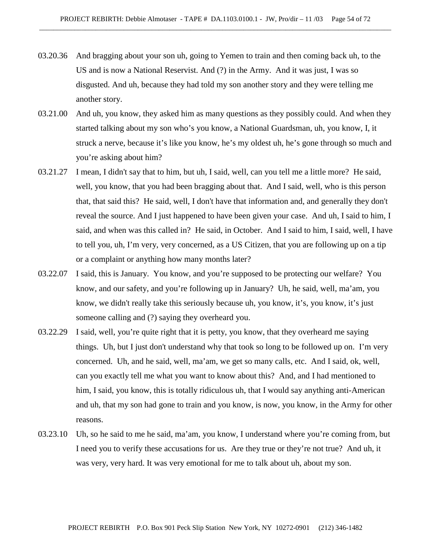- 03.20.36 And bragging about your son uh, going to Yemen to train and then coming back uh, to the US and is now a National Reservist. And (?) in the Army. And it was just, I was so disgusted. And uh, because they had told my son another story and they were telling me another story.
- 03.21.00 And uh, you know, they asked him as many questions as they possibly could. And when they started talking about my son who's you know, a National Guardsman, uh, you know, I, it struck a nerve, because it's like you know, he's my oldest uh, he's gone through so much and you're asking about him?
- 03.21.27 I mean, I didn't say that to him, but uh, I said, well, can you tell me a little more? He said, well, you know, that you had been bragging about that. And I said, well, who is this person that, that said this? He said, well, I don't have that information and, and generally they don't reveal the source. And I just happened to have been given your case. And uh, I said to him, I said, and when was this called in? He said, in October. And I said to him, I said, well, I have to tell you, uh, I'm very, very concerned, as a US Citizen, that you are following up on a tip or a complaint or anything how many months later?
- 03.22.07 I said, this is January. You know, and you're supposed to be protecting our welfare? You know, and our safety, and you're following up in January? Uh, he said, well, ma'am, you know, we didn't really take this seriously because uh, you know, it's, you know, it's just someone calling and (?) saying they overheard you.
- 03.22.29 I said, well, you're quite right that it is petty, you know, that they overheard me saying things. Uh, but I just don't understand why that took so long to be followed up on. I'm very concerned. Uh, and he said, well, ma'am, we get so many calls, etc. And I said, ok, well, can you exactly tell me what you want to know about this? And, and I had mentioned to him, I said, you know, this is totally ridiculous uh, that I would say anything anti-American and uh, that my son had gone to train and you know, is now, you know, in the Army for other reasons.
- 03.23.10 Uh, so he said to me he said, ma'am, you know, I understand where you're coming from, but I need you to verify these accusations for us. Are they true or they're not true? And uh, it was very, very hard. It was very emotional for me to talk about uh, about my son.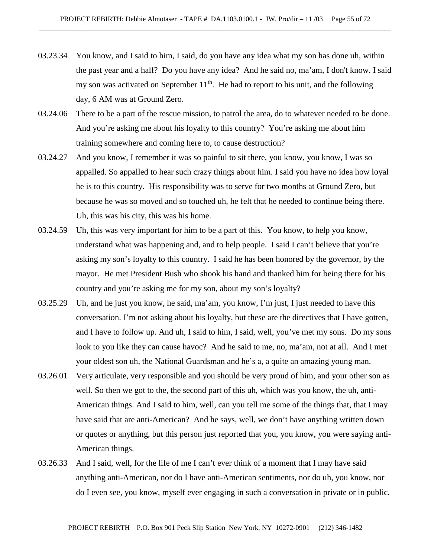- 03.23.34 You know, and I said to him, I said, do you have any idea what my son has done uh, within the past year and a half? Do you have any idea? And he said no, ma'am, I don't know. I said my son was activated on September  $11<sup>th</sup>$ . He had to report to his unit, and the following day, 6 AM was at Ground Zero.
- 03.24.06 There to be a part of the rescue mission, to patrol the area, do to whatever needed to be done. And you're asking me about his loyalty to this country? You're asking me about him training somewhere and coming here to, to cause destruction?
- 03.24.27 And you know, I remember it was so painful to sit there, you know, you know, I was so appalled. So appalled to hear such crazy things about him. I said you have no idea how loyal he is to this country. His responsibility was to serve for two months at Ground Zero, but because he was so moved and so touched uh, he felt that he needed to continue being there. Uh, this was his city, this was his home.
- 03.24.59 Uh, this was very important for him to be a part of this. You know, to help you know, understand what was happening and, and to help people. I said I can't believe that you're asking my son's loyalty to this country. I said he has been honored by the governor, by the mayor. He met President Bush who shook his hand and thanked him for being there for his country and you're asking me for my son, about my son's loyalty?
- 03.25.29 Uh, and he just you know, he said, ma'am, you know, I'm just, I just needed to have this conversation. I'm not asking about his loyalty, but these are the directives that I have gotten, and I have to follow up. And uh, I said to him, I said, well, you've met my sons. Do my sons look to you like they can cause havoc? And he said to me, no, ma'am, not at all. And I met your oldest son uh, the National Guardsman and he's a, a quite an amazing young man.
- 03.26.01 Very articulate, very responsible and you should be very proud of him, and your other son as well. So then we got to the, the second part of this uh, which was you know, the uh, anti-American things. And I said to him, well, can you tell me some of the things that, that I may have said that are anti-American? And he says, well, we don't have anything written down or quotes or anything, but this person just reported that you, you know, you were saying anti-American things.
- 03.26.33 And I said, well, for the life of me I can't ever think of a moment that I may have said anything anti-American, nor do I have anti-American sentiments, nor do uh, you know, nor do I even see, you know, myself ever engaging in such a conversation in private or in public.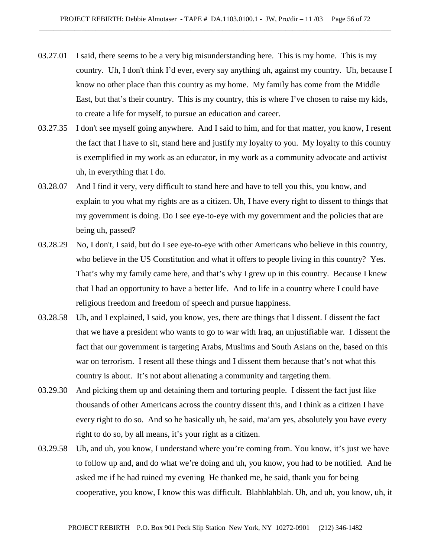- 03.27.01 I said, there seems to be a very big misunderstanding here. This is my home. This is my country. Uh, I don't think I'd ever, every say anything uh, against my country. Uh, because I know no other place than this country as my home. My family has come from the Middle East, but that's their country. This is my country, this is where I've chosen to raise my kids, to create a life for myself, to pursue an education and career.
- 03.27.35 I don't see myself going anywhere. And I said to him, and for that matter, you know, I resent the fact that I have to sit, stand here and justify my loyalty to you. My loyalty to this country is exemplified in my work as an educator, in my work as a community advocate and activist uh, in everything that I do.
- 03.28.07 And I find it very, very difficult to stand here and have to tell you this, you know, and explain to you what my rights are as a citizen. Uh, I have every right to dissent to things that my government is doing. Do I see eye-to-eye with my government and the policies that are being uh, passed?
- 03.28.29 No, I don't, I said, but do I see eye-to-eye with other Americans who believe in this country, who believe in the US Constitution and what it offers to people living in this country? Yes. That's why my family came here, and that's why I grew up in this country. Because I knew that I had an opportunity to have a better life. And to life in a country where I could have religious freedom and freedom of speech and pursue happiness.
- 03.28.58 Uh, and I explained, I said, you know, yes, there are things that I dissent. I dissent the fact that we have a president who wants to go to war with Iraq, an unjustifiable war. I dissent the fact that our government is targeting Arabs, Muslims and South Asians on the, based on this war on terrorism. I resent all these things and I dissent them because that's not what this country is about. It's not about alienating a community and targeting them.
- 03.29.30 And picking them up and detaining them and torturing people. I dissent the fact just like thousands of other Americans across the country dissent this, and I think as a citizen I have every right to do so. And so he basically uh, he said, ma'am yes, absolutely you have every right to do so, by all means, it's your right as a citizen.
- 03.29.58 Uh, and uh, you know, I understand where you're coming from. You know, it's just we have to follow up and, and do what we're doing and uh, you know, you had to be notified. And he asked me if he had ruined my evening He thanked me, he said, thank you for being cooperative, you know, I know this was difficult. Blahblahblah. Uh, and uh, you know, uh, it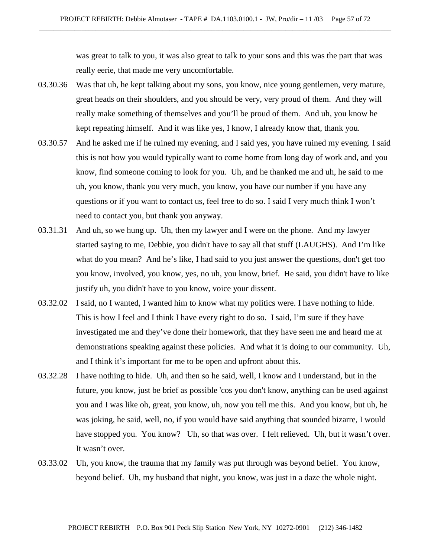was great to talk to you, it was also great to talk to your sons and this was the part that was really eerie, that made me very uncomfortable.

- 03.30.36 Was that uh, he kept talking about my sons, you know, nice young gentlemen, very mature, great heads on their shoulders, and you should be very, very proud of them. And they will really make something of themselves and you'll be proud of them. And uh, you know he kept repeating himself. And it was like yes, I know, I already know that, thank you.
- 03.30.57 And he asked me if he ruined my evening, and I said yes, you have ruined my evening. I said this is not how you would typically want to come home from long day of work and, and you know, find someone coming to look for you. Uh, and he thanked me and uh, he said to me uh, you know, thank you very much, you know, you have our number if you have any questions or if you want to contact us, feel free to do so. I said I very much think I won't need to contact you, but thank you anyway.
- 03.31.31 And uh, so we hung up. Uh, then my lawyer and I were on the phone. And my lawyer started saying to me, Debbie, you didn't have to say all that stuff (LAUGHS). And I'm like what do you mean? And he's like, I had said to you just answer the questions, don't get too you know, involved, you know, yes, no uh, you know, brief. He said, you didn't have to like justify uh, you didn't have to you know, voice your dissent.
- 03.32.02 I said, no I wanted, I wanted him to know what my politics were. I have nothing to hide. This is how I feel and I think I have every right to do so. I said, I'm sure if they have investigated me and they've done their homework, that they have seen me and heard me at demonstrations speaking against these policies. And what it is doing to our community. Uh, and I think it's important for me to be open and upfront about this.
- 03.32.28 I have nothing to hide. Uh, and then so he said, well, I know and I understand, but in the future, you know, just be brief as possible 'cos you don't know, anything can be used against you and I was like oh, great, you know, uh, now you tell me this. And you know, but uh, he was joking, he said, well, no, if you would have said anything that sounded bizarre, I would have stopped you. You know? Uh, so that was over. I felt relieved. Uh, but it wasn't over. It wasn't over.
- 03.33.02 Uh, you know, the trauma that my family was put through was beyond belief. You know, beyond belief. Uh, my husband that night, you know, was just in a daze the whole night.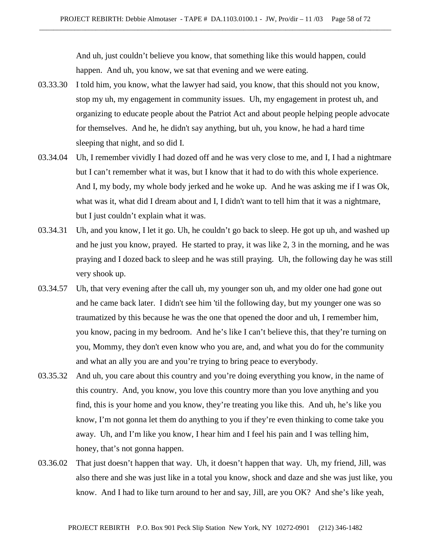And uh, just couldn't believe you know, that something like this would happen, could happen. And uh, you know, we sat that evening and we were eating.

- 03.33.30 I told him, you know, what the lawyer had said, you know, that this should not you know, stop my uh, my engagement in community issues. Uh, my engagement in protest uh, and organizing to educate people about the Patriot Act and about people helping people advocate for themselves. And he, he didn't say anything, but uh, you know, he had a hard time sleeping that night, and so did I.
- 03.34.04 Uh, I remember vividly I had dozed off and he was very close to me, and I, I had a nightmare but I can't remember what it was, but I know that it had to do with this whole experience. And I, my body, my whole body jerked and he woke up. And he was asking me if I was Ok, what was it, what did I dream about and I, I didn't want to tell him that it was a nightmare, but I just couldn't explain what it was.
- 03.34.31 Uh, and you know, I let it go. Uh, he couldn't go back to sleep. He got up uh, and washed up and he just you know, prayed. He started to pray, it was like 2, 3 in the morning, and he was praying and I dozed back to sleep and he was still praying. Uh, the following day he was still very shook up.
- 03.34.57 Uh, that very evening after the call uh, my younger son uh, and my older one had gone out and he came back later. I didn't see him 'til the following day, but my younger one was so traumatized by this because he was the one that opened the door and uh, I remember him, you know, pacing in my bedroom. And he's like I can't believe this, that they're turning on you, Mommy, they don't even know who you are, and, and what you do for the community and what an ally you are and you're trying to bring peace to everybody.
- 03.35.32 And uh, you care about this country and you're doing everything you know, in the name of this country. And, you know, you love this country more than you love anything and you find, this is your home and you know, they're treating you like this. And uh, he's like you know, I'm not gonna let them do anything to you if they're even thinking to come take you away. Uh, and I'm like you know, I hear him and I feel his pain and I was telling him, honey, that's not gonna happen.
- 03.36.02 That just doesn't happen that way. Uh, it doesn't happen that way. Uh, my friend, Jill, was also there and she was just like in a total you know, shock and daze and she was just like, you know. And I had to like turn around to her and say, Jill, are you OK? And she's like yeah,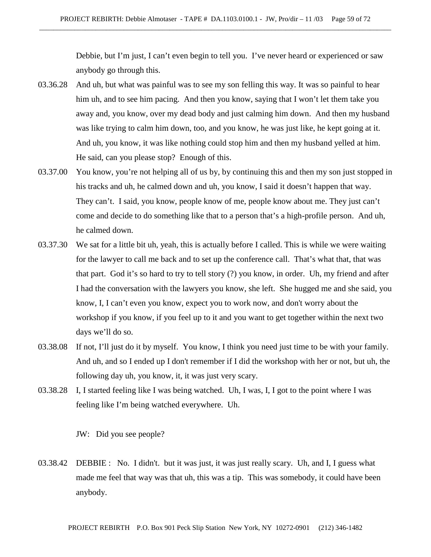Debbie, but I'm just, I can't even begin to tell you. I've never heard or experienced or saw anybody go through this.

- 03.36.28 And uh, but what was painful was to see my son felling this way. It was so painful to hear him uh, and to see him pacing. And then you know, saying that I won't let them take you away and, you know, over my dead body and just calming him down. And then my husband was like trying to calm him down, too, and you know, he was just like, he kept going at it. And uh, you know, it was like nothing could stop him and then my husband yelled at him. He said, can you please stop? Enough of this.
- 03.37.00 You know, you're not helping all of us by, by continuing this and then my son just stopped in his tracks and uh, he calmed down and uh, you know, I said it doesn't happen that way. They can't. I said, you know, people know of me, people know about me. They just can't come and decide to do something like that to a person that's a high-profile person. And uh, he calmed down.
- 03.37.30 We sat for a little bit uh, yeah, this is actually before I called. This is while we were waiting for the lawyer to call me back and to set up the conference call. That's what that, that was that part. God it's so hard to try to tell story (?) you know, in order. Uh, my friend and after I had the conversation with the lawyers you know, she left. She hugged me and she said, you know, I, I can't even you know, expect you to work now, and don't worry about the workshop if you know, if you feel up to it and you want to get together within the next two days we'll do so.
- 03.38.08 If not, I'll just do it by myself. You know, I think you need just time to be with your family. And uh, and so I ended up I don't remember if I did the workshop with her or not, but uh, the following day uh, you know, it, it was just very scary.
- 03.38.28 I, I started feeling like I was being watched. Uh, I was, I, I got to the point where I was feeling like I'm being watched everywhere. Uh.

JW: Did you see people?

03.38.42 DEBBIE : No. I didn't. but it was just, it was just really scary. Uh, and I, I guess what made me feel that way was that uh, this was a tip. This was somebody, it could have been anybody.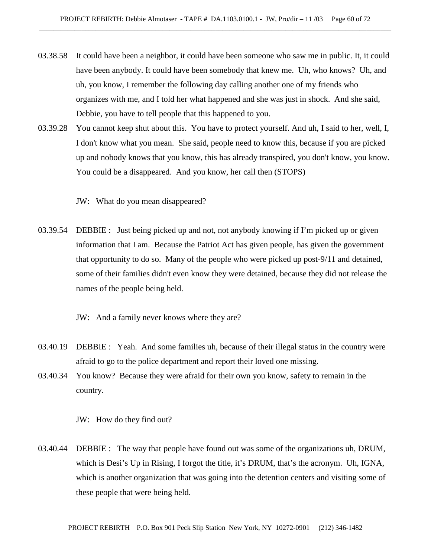- 03.38.58 It could have been a neighbor, it could have been someone who saw me in public. It, it could have been anybody. It could have been somebody that knew me. Uh, who knows? Uh, and uh, you know, I remember the following day calling another one of my friends who organizes with me, and I told her what happened and she was just in shock. And she said, Debbie, you have to tell people that this happened to you.
- 03.39.28 You cannot keep shut about this. You have to protect yourself. And uh, I said to her, well, I, I don't know what you mean. She said, people need to know this, because if you are picked up and nobody knows that you know, this has already transpired, you don't know, you know. You could be a disappeared. And you know, her call then (STOPS)

JW: What do you mean disappeared?

03.39.54 DEBBIE : Just being picked up and not, not anybody knowing if I'm picked up or given information that I am. Because the Patriot Act has given people, has given the government that opportunity to do so. Many of the people who were picked up post-9/11 and detained, some of their families didn't even know they were detained, because they did not release the names of the people being held.

JW: And a family never knows where they are?

- 03.40.19 DEBBIE : Yeah. And some families uh, because of their illegal status in the country were afraid to go to the police department and report their loved one missing.
- 03.40.34 You know? Because they were afraid for their own you know, safety to remain in the country.

JW: How do they find out?

03.40.44 DEBBIE : The way that people have found out was some of the organizations uh, DRUM, which is Desi's Up in Rising, I forgot the title, it's DRUM, that's the acronym. Uh, IGNA, which is another organization that was going into the detention centers and visiting some of these people that were being held.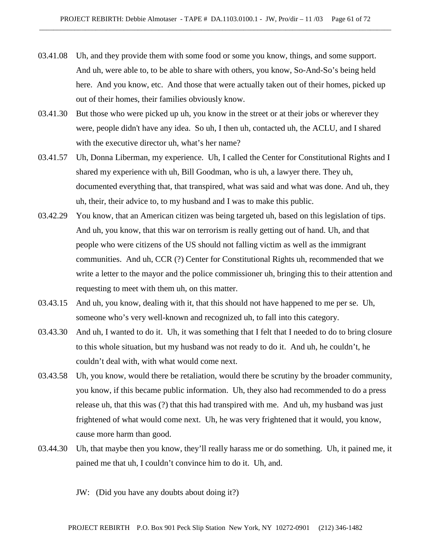- 03.41.08 Uh, and they provide them with some food or some you know, things, and some support. And uh, were able to, to be able to share with others, you know, So-And-So's being held here. And you know, etc. And those that were actually taken out of their homes, picked up out of their homes, their families obviously know.
- 03.41.30 But those who were picked up uh, you know in the street or at their jobs or wherever they were, people didn't have any idea. So uh, I then uh, contacted uh, the ACLU, and I shared with the executive director uh, what's her name?
- 03.41.57 Uh, Donna Liberman, my experience. Uh, I called the Center for Constitutional Rights and I shared my experience with uh, Bill Goodman, who is uh, a lawyer there. They uh, documented everything that, that transpired, what was said and what was done. And uh, they uh, their, their advice to, to my husband and I was to make this public.
- 03.42.29 You know, that an American citizen was being targeted uh, based on this legislation of tips. And uh, you know, that this war on terrorism is really getting out of hand. Uh, and that people who were citizens of the US should not falling victim as well as the immigrant communities. And uh, CCR (?) Center for Constitutional Rights uh, recommended that we write a letter to the mayor and the police commissioner uh, bringing this to their attention and requesting to meet with them uh, on this matter.
- 03.43.15 And uh, you know, dealing with it, that this should not have happened to me per se. Uh, someone who's very well-known and recognized uh, to fall into this category.
- 03.43.30 And uh, I wanted to do it. Uh, it was something that I felt that I needed to do to bring closure to this whole situation, but my husband was not ready to do it. And uh, he couldn't, he couldn't deal with, with what would come next.
- 03.43.58 Uh, you know, would there be retaliation, would there be scrutiny by the broader community, you know, if this became public information. Uh, they also had recommended to do a press release uh, that this was (?) that this had transpired with me. And uh, my husband was just frightened of what would come next. Uh, he was very frightened that it would, you know, cause more harm than good.
- 03.44.30 Uh, that maybe then you know, they'll really harass me or do something. Uh, it pained me, it pained me that uh, I couldn't convince him to do it. Uh, and.

JW: (Did you have any doubts about doing it?)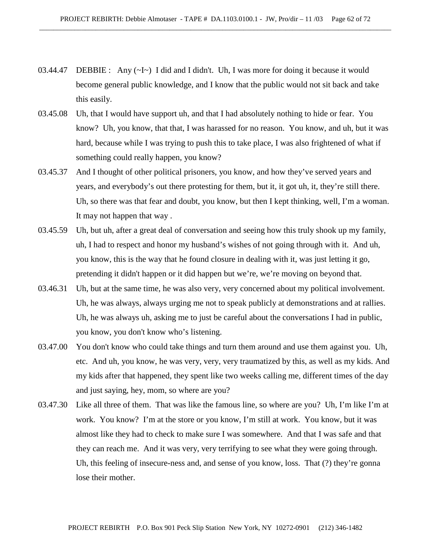- 03.44.47 DEBBIE : Any  $(\sim I \sim)$  I did and I didn't. Uh, I was more for doing it because it would become general public knowledge, and I know that the public would not sit back and take this easily.
- 03.45.08 Uh, that I would have support uh, and that I had absolutely nothing to hide or fear. You know? Uh, you know, that that, I was harassed for no reason. You know, and uh, but it was hard, because while I was trying to push this to take place, I was also frightened of what if something could really happen, you know?
- 03.45.37 And I thought of other political prisoners, you know, and how they've served years and years, and everybody's out there protesting for them, but it, it got uh, it, they're still there. Uh, so there was that fear and doubt, you know, but then I kept thinking, well, I'm a woman. It may not happen that way .
- 03.45.59 Uh, but uh, after a great deal of conversation and seeing how this truly shook up my family, uh, I had to respect and honor my husband's wishes of not going through with it. And uh, you know, this is the way that he found closure in dealing with it, was just letting it go, pretending it didn't happen or it did happen but we're, we're moving on beyond that.
- 03.46.31 Uh, but at the same time, he was also very, very concerned about my political involvement. Uh, he was always, always urging me not to speak publicly at demonstrations and at rallies. Uh, he was always uh, asking me to just be careful about the conversations I had in public, you know, you don't know who's listening.
- 03.47.00 You don't know who could take things and turn them around and use them against you. Uh, etc. And uh, you know, he was very, very, very traumatized by this, as well as my kids. And my kids after that happened, they spent like two weeks calling me, different times of the day and just saying, hey, mom, so where are you?
- 03.47.30 Like all three of them. That was like the famous line, so where are you? Uh, I'm like I'm at work. You know? I'm at the store or you know, I'm still at work. You know, but it was almost like they had to check to make sure I was somewhere. And that I was safe and that they can reach me. And it was very, very terrifying to see what they were going through. Uh, this feeling of insecure-ness and, and sense of you know, loss. That (?) they're gonna lose their mother.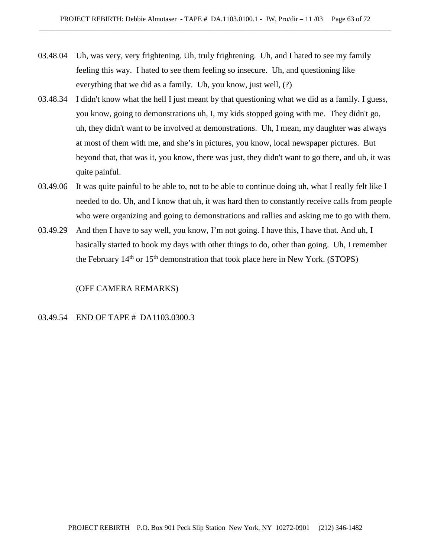- 03.48.04 Uh, was very, very frightening. Uh, truly frightening. Uh, and I hated to see my family feeling this way. I hated to see them feeling so insecure. Uh, and questioning like everything that we did as a family. Uh, you know, just well, (?)
- 03.48.34 I didn't know what the hell I just meant by that questioning what we did as a family. I guess, you know, going to demonstrations uh, I, my kids stopped going with me. They didn't go, uh, they didn't want to be involved at demonstrations. Uh, I mean, my daughter was always at most of them with me, and she's in pictures, you know, local newspaper pictures. But beyond that, that was it, you know, there was just, they didn't want to go there, and uh, it was quite painful.
- 03.49.06 It was quite painful to be able to, not to be able to continue doing uh, what I really felt like I needed to do. Uh, and I know that uh, it was hard then to constantly receive calls from people who were organizing and going to demonstrations and rallies and asking me to go with them.
- 03.49.29 And then I have to say well, you know, I'm not going. I have this, I have that. And uh, I basically started to book my days with other things to do, other than going. Uh, I remember the February  $14<sup>th</sup>$  or  $15<sup>th</sup>$  demonstration that took place here in New York. (STOPS)

(OFF CAMERA REMARKS)

# 03.49.54 END OF TAPE # DA1103.0300.3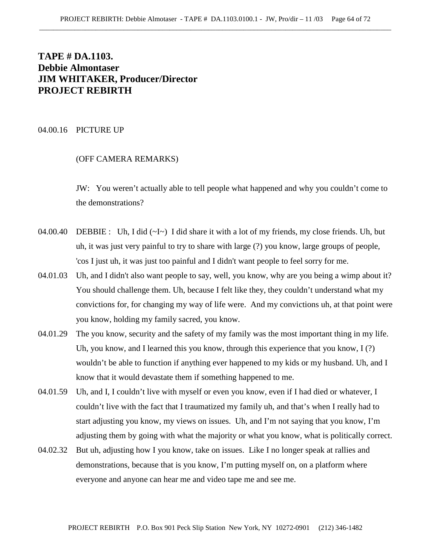# **TAPE # DA.1103. Debbie Almontaser JIM WHITAKER, Producer/Director PROJECT REBIRTH**

#### 04.00.16 PICTURE UP

## (OFF CAMERA REMARKS)

JW: You weren't actually able to tell people what happened and why you couldn't come to the demonstrations?

- 04.00.40 DEBBIE : Uh, I did (~I~) I did share it with a lot of my friends, my close friends. Uh, but uh, it was just very painful to try to share with large (?) you know, large groups of people, 'cos I just uh, it was just too painful and I didn't want people to feel sorry for me.
- 04.01.03 Uh, and I didn't also want people to say, well, you know, why are you being a wimp about it? You should challenge them. Uh, because I felt like they, they couldn't understand what my convictions for, for changing my way of life were. And my convictions uh, at that point were you know, holding my family sacred, you know.
- 04.01.29 The you know, security and the safety of my family was the most important thing in my life. Uh, you know, and I learned this you know, through this experience that you know, I (?) wouldn't be able to function if anything ever happened to my kids or my husband. Uh, and I know that it would devastate them if something happened to me.
- 04.01.59 Uh, and I, I couldn't live with myself or even you know, even if I had died or whatever, I couldn't live with the fact that I traumatized my family uh, and that's when I really had to start adjusting you know, my views on issues. Uh, and I'm not saying that you know, I'm adjusting them by going with what the majority or what you know, what is politically correct.
- 04.02.32 But uh, adjusting how I you know, take on issues. Like I no longer speak at rallies and demonstrations, because that is you know, I'm putting myself on, on a platform where everyone and anyone can hear me and video tape me and see me.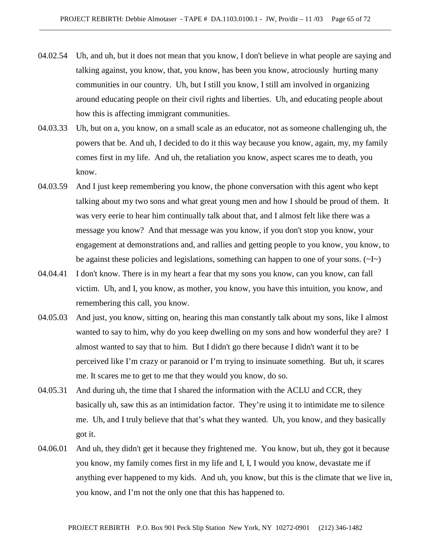- 04.02.54 Uh, and uh, but it does not mean that you know, I don't believe in what people are saying and talking against, you know, that, you know, has been you know, atrociously hurting many communities in our country. Uh, but I still you know, I still am involved in organizing around educating people on their civil rights and liberties. Uh, and educating people about how this is affecting immigrant communities.
- 04.03.33 Uh, but on a, you know, on a small scale as an educator, not as someone challenging uh, the powers that be. And uh, I decided to do it this way because you know, again, my, my family comes first in my life. And uh, the retaliation you know, aspect scares me to death, you know.
- 04.03.59 And I just keep remembering you know, the phone conversation with this agent who kept talking about my two sons and what great young men and how I should be proud of them. It was very eerie to hear him continually talk about that, and I almost felt like there was a message you know? And that message was you know, if you don't stop you know, your engagement at demonstrations and, and rallies and getting people to you know, you know, to be against these policies and legislations, something can happen to one of your sons.  $(\sim] \sim$
- 04.04.41 I don't know. There is in my heart a fear that my sons you know, can you know, can fall victim. Uh, and I, you know, as mother, you know, you have this intuition, you know, and remembering this call, you know.
- 04.05.03 And just, you know, sitting on, hearing this man constantly talk about my sons, like I almost wanted to say to him, why do you keep dwelling on my sons and how wonderful they are? I almost wanted to say that to him. But I didn't go there because I didn't want it to be perceived like I'm crazy or paranoid or I'm trying to insinuate something. But uh, it scares me. It scares me to get to me that they would you know, do so.
- 04.05.31 And during uh, the time that I shared the information with the ACLU and CCR, they basically uh, saw this as an intimidation factor. They're using it to intimidate me to silence me. Uh, and I truly believe that that's what they wanted. Uh, you know, and they basically got it.
- 04.06.01 And uh, they didn't get it because they frightened me. You know, but uh, they got it because you know, my family comes first in my life and I, I, I would you know, devastate me if anything ever happened to my kids. And uh, you know, but this is the climate that we live in, you know, and I'm not the only one that this has happened to.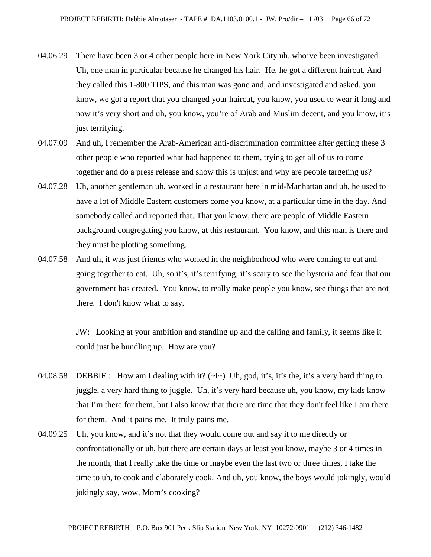- 04.06.29 There have been 3 or 4 other people here in New York City uh, who've been investigated. Uh, one man in particular because he changed his hair. He, he got a different haircut. And they called this 1-800 TIPS, and this man was gone and, and investigated and asked, you know, we got a report that you changed your haircut, you know, you used to wear it long and now it's very short and uh, you know, you're of Arab and Muslim decent, and you know, it's just terrifying.
- 04.07.09 And uh, I remember the Arab-American anti-discrimination committee after getting these 3 other people who reported what had happened to them, trying to get all of us to come together and do a press release and show this is unjust and why are people targeting us?
- 04.07.28 Uh, another gentleman uh, worked in a restaurant here in mid-Manhattan and uh, he used to have a lot of Middle Eastern customers come you know, at a particular time in the day. And somebody called and reported that. That you know, there are people of Middle Eastern background congregating you know, at this restaurant. You know, and this man is there and they must be plotting something.
- 04.07.58 And uh, it was just friends who worked in the neighborhood who were coming to eat and going together to eat. Uh, so it's, it's terrifying, it's scary to see the hysteria and fear that our government has created. You know, to really make people you know, see things that are not there. I don't know what to say.

JW: Looking at your ambition and standing up and the calling and family, it seems like it could just be bundling up. How are you?

- 04.08.58 DEBBIE : How am I dealing with it?  $(\sim l \sim)$  Uh, god, it's, it's the, it's a very hard thing to juggle, a very hard thing to juggle. Uh, it's very hard because uh, you know, my kids know that I'm there for them, but I also know that there are time that they don't feel like I am there for them. And it pains me. It truly pains me.
- 04.09.25 Uh, you know, and it's not that they would come out and say it to me directly or confrontationally or uh, but there are certain days at least you know, maybe 3 or 4 times in the month, that I really take the time or maybe even the last two or three times, I take the time to uh, to cook and elaborately cook. And uh, you know, the boys would jokingly, would jokingly say, wow, Mom's cooking?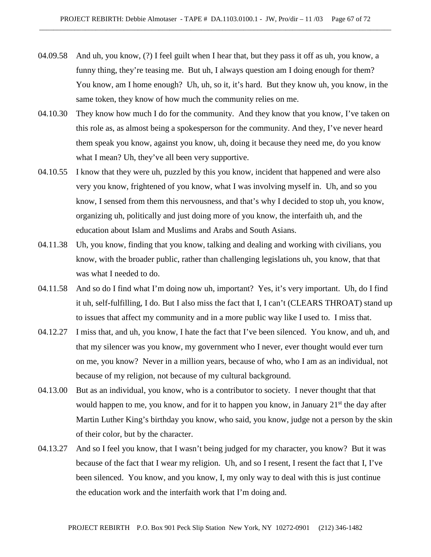- 04.09.58 And uh, you know, (?) I feel guilt when I hear that, but they pass it off as uh, you know, a funny thing, they're teasing me. But uh, I always question am I doing enough for them? You know, am I home enough? Uh, uh, so it, it's hard. But they know uh, you know, in the same token, they know of how much the community relies on me.
- 04.10.30 They know how much I do for the community. And they know that you know, I've taken on this role as, as almost being a spokesperson for the community. And they, I've never heard them speak you know, against you know, uh, doing it because they need me, do you know what I mean? Uh, they've all been very supportive.
- 04.10.55 I know that they were uh, puzzled by this you know, incident that happened and were also very you know, frightened of you know, what I was involving myself in. Uh, and so you know, I sensed from them this nervousness, and that's why I decided to stop uh, you know, organizing uh, politically and just doing more of you know, the interfaith uh, and the education about Islam and Muslims and Arabs and South Asians.
- 04.11.38 Uh, you know, finding that you know, talking and dealing and working with civilians, you know, with the broader public, rather than challenging legislations uh, you know, that that was what I needed to do.
- 04.11.58 And so do I find what I'm doing now uh, important? Yes, it's very important. Uh, do I find it uh, self-fulfilling, I do. But I also miss the fact that I, I can't (CLEARS THROAT) stand up to issues that affect my community and in a more public way like I used to. I miss that.
- 04.12.27 I miss that, and uh, you know, I hate the fact that I've been silenced. You know, and uh, and that my silencer was you know, my government who I never, ever thought would ever turn on me, you know? Never in a million years, because of who, who I am as an individual, not because of my religion, not because of my cultural background.
- 04.13.00 But as an individual, you know, who is a contributor to society. I never thought that that would happen to me, you know, and for it to happen you know, in January 21<sup>st</sup> the day after Martin Luther King's birthday you know, who said, you know, judge not a person by the skin of their color, but by the character.
- 04.13.27 And so I feel you know, that I wasn't being judged for my character, you know? But it was because of the fact that I wear my religion. Uh, and so I resent, I resent the fact that I, I've been silenced. You know, and you know, I, my only way to deal with this is just continue the education work and the interfaith work that I'm doing and.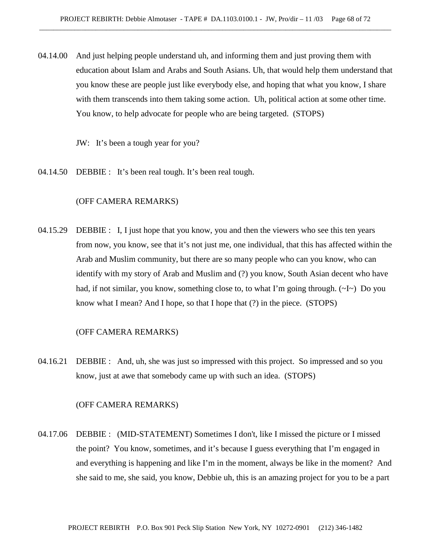04.14.00 And just helping people understand uh, and informing them and just proving them with education about Islam and Arabs and South Asians. Uh, that would help them understand that you know these are people just like everybody else, and hoping that what you know, I share with them transcends into them taking some action. Uh, political action at some other time. You know, to help advocate for people who are being targeted. (STOPS)

JW: It's been a tough year for you?

04.14.50 DEBBIE : It's been real tough. It's been real tough.

## (OFF CAMERA REMARKS)

04.15.29 DEBBIE : I, I just hope that you know, you and then the viewers who see this ten years from now, you know, see that it's not just me, one individual, that this has affected within the Arab and Muslim community, but there are so many people who can you know, who can identify with my story of Arab and Muslim and (?) you know, South Asian decent who have had, if not similar, you know, something close to, to what I'm going through.  $(\sim I \sim)$  Do you know what I mean? And I hope, so that I hope that (?) in the piece. (STOPS)

#### (OFF CAMERA REMARKS)

04.16.21 DEBBIE : And, uh, she was just so impressed with this project. So impressed and so you know, just at awe that somebody came up with such an idea. (STOPS)

#### (OFF CAMERA REMARKS)

04.17.06 DEBBIE : (MID-STATEMENT) Sometimes I don't, like I missed the picture or I missed the point? You know, sometimes, and it's because I guess everything that I'm engaged in and everything is happening and like I'm in the moment, always be like in the moment? And she said to me, she said, you know, Debbie uh, this is an amazing project for you to be a part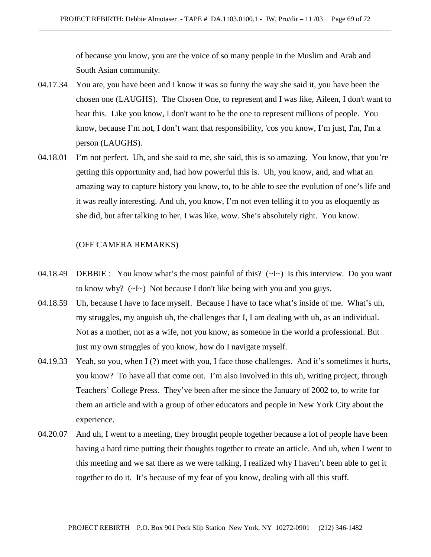of because you know, you are the voice of so many people in the Muslim and Arab and South Asian community.

- 04.17.34 You are, you have been and I know it was so funny the way she said it, you have been the chosen one (LAUGHS). The Chosen One, to represent and I was like, Aileen, I don't want to hear this. Like you know, I don't want to be the one to represent millions of people. You know, because I'm not, I don't want that responsibility, 'cos you know, I'm just, I'm, I'm a person (LAUGHS).
- 04.18.01 I'm not perfect. Uh, and she said to me, she said, this is so amazing. You know, that you're getting this opportunity and, had how powerful this is. Uh, you know, and, and what an amazing way to capture history you know, to, to be able to see the evolution of one's life and it was really interesting. And uh, you know, I'm not even telling it to you as eloquently as she did, but after talking to her, I was like, wow. She's absolutely right. You know.

## (OFF CAMERA REMARKS)

- 04.18.49 DEBBIE : You know what's the most painful of this? (~I~) Is this interview. Do you want to know why? (~I~) Not because I don't like being with you and you guys.
- 04.18.59 Uh, because I have to face myself. Because I have to face what's inside of me. What's uh, my struggles, my anguish uh, the challenges that I, I am dealing with uh, as an individual. Not as a mother, not as a wife, not you know, as someone in the world a professional. But just my own struggles of you know, how do I navigate myself.
- 04.19.33 Yeah, so you, when I (?) meet with you, I face those challenges. And it's sometimes it hurts, you know? To have all that come out. I'm also involved in this uh, writing project, through Teachers' College Press. They've been after me since the January of 2002 to, to write for them an article and with a group of other educators and people in New York City about the experience.
- 04.20.07 And uh, I went to a meeting, they brought people together because a lot of people have been having a hard time putting their thoughts together to create an article. And uh, when I went to this meeting and we sat there as we were talking, I realized why I haven't been able to get it together to do it. It's because of my fear of you know, dealing with all this stuff.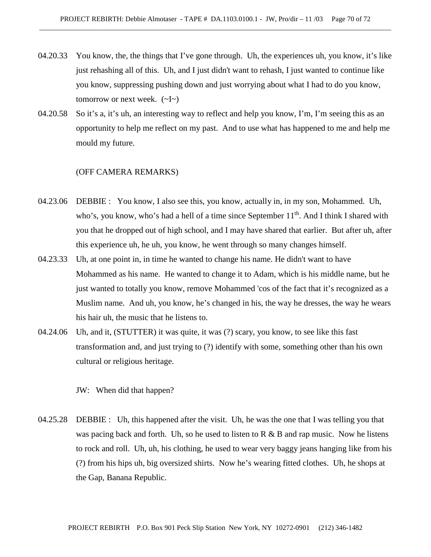- 04.20.33 You know, the, the things that I've gone through. Uh, the experiences uh, you know, it's like just rehashing all of this. Uh, and I just didn't want to rehash, I just wanted to continue like you know, suppressing pushing down and just worrying about what I had to do you know, tomorrow or next week.  $(\sim]_{\sim}$ )
- 04.20.58 So it's a, it's uh, an interesting way to reflect and help you know, I'm, I'm seeing this as an opportunity to help me reflect on my past. And to use what has happened to me and help me mould my future.

#### (OFF CAMERA REMARKS)

- 04.23.06 DEBBIE : You know, I also see this, you know, actually in, in my son, Mohammed. Uh, who's, you know, who's had a hell of a time since September 11<sup>th</sup>. And I think I shared with you that he dropped out of high school, and I may have shared that earlier. But after uh, after this experience uh, he uh, you know, he went through so many changes himself.
- 04.23.33 Uh, at one point in, in time he wanted to change his name. He didn't want to have Mohammed as his name. He wanted to change it to Adam, which is his middle name, but he just wanted to totally you know, remove Mohammed 'cos of the fact that it's recognized as a Muslim name. And uh, you know, he's changed in his, the way he dresses, the way he wears his hair uh, the music that he listens to.
- 04.24.06 Uh, and it, (STUTTER) it was quite, it was (?) scary, you know, to see like this fast transformation and, and just trying to (?) identify with some, something other than his own cultural or religious heritage.

JW: When did that happen?

04.25.28 DEBBIE : Uh, this happened after the visit. Uh, he was the one that I was telling you that was pacing back and forth. Uh, so he used to listen to  $R \& B$  and rap music. Now he listens to rock and roll. Uh, uh, his clothing, he used to wear very baggy jeans hanging like from his (?) from his hips uh, big oversized shirts. Now he's wearing fitted clothes. Uh, he shops at the Gap, Banana Republic.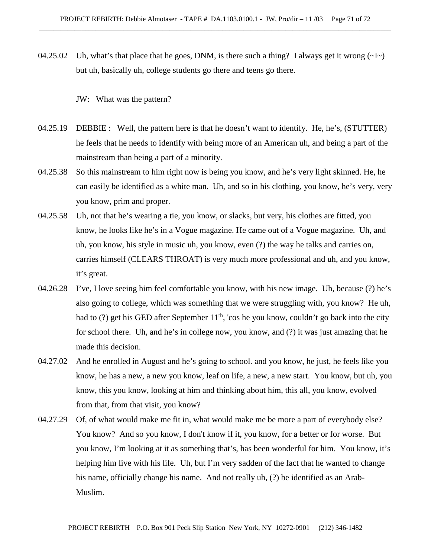04.25.02 Uh, what's that place that he goes, DNM, is there such a thing? I always get it wrong  $(\sim I \sim)$ but uh, basically uh, college students go there and teens go there.

JW: What was the pattern?

- 04.25.19 DEBBIE : Well, the pattern here is that he doesn't want to identify. He, he's, (STUTTER) he feels that he needs to identify with being more of an American uh, and being a part of the mainstream than being a part of a minority.
- 04.25.38 So this mainstream to him right now is being you know, and he's very light skinned. He, he can easily be identified as a white man. Uh, and so in his clothing, you know, he's very, very you know, prim and proper.
- 04.25.58 Uh, not that he's wearing a tie, you know, or slacks, but very, his clothes are fitted, you know, he looks like he's in a Vogue magazine. He came out of a Vogue magazine. Uh, and uh, you know, his style in music uh, you know, even (?) the way he talks and carries on, carries himself (CLEARS THROAT) is very much more professional and uh, and you know, it's great.
- 04.26.28 I've, I love seeing him feel comfortable you know, with his new image. Uh, because (?) he's also going to college, which was something that we were struggling with, you know? He uh, had to (?) get his GED after September  $11<sup>th</sup>$ , 'cos he you know, couldn't go back into the city for school there. Uh, and he's in college now, you know, and (?) it was just amazing that he made this decision.
- 04.27.02 And he enrolled in August and he's going to school. and you know, he just, he feels like you know, he has a new, a new you know, leaf on life, a new, a new start. You know, but uh, you know, this you know, looking at him and thinking about him, this all, you know, evolved from that, from that visit, you know?
- 04.27.29 Of, of what would make me fit in, what would make me be more a part of everybody else? You know? And so you know, I don't know if it, you know, for a better or for worse. But you know, I'm looking at it as something that's, has been wonderful for him. You know, it's helping him live with his life. Uh, but I'm very sadden of the fact that he wanted to change his name, officially change his name. And not really uh, (?) be identified as an Arab-Muslim.